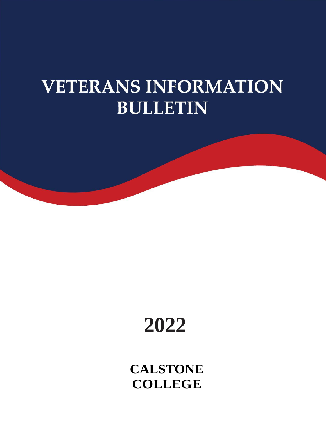# **VETERANS INFORMATION BULLETIN**



**CALSTONE COLLEGE**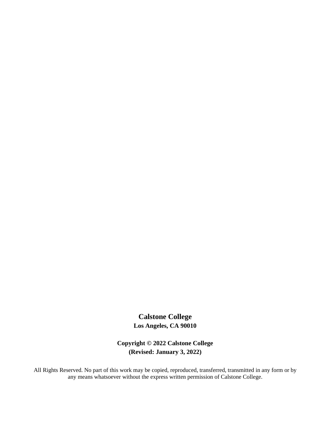# **Calstone College Los Angeles, CA 90010**

**Copyright © 2022 Calstone College (Revised: January 3, 2022)**

All Rights Reserved. No part of this work may be copied, reproduced, transferred, transmitted in any form or by any means whatsoever without the express written permission of Calstone College.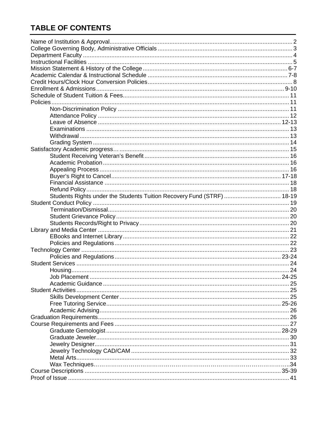# **TABLE OF CONTENTS**

| Students Rights under the Students Tuition Recovery Fund (STRF)  18-19 |  |
|------------------------------------------------------------------------|--|
|                                                                        |  |
|                                                                        |  |
|                                                                        |  |
|                                                                        |  |
|                                                                        |  |
|                                                                        |  |
|                                                                        |  |
|                                                                        |  |
|                                                                        |  |
|                                                                        |  |
|                                                                        |  |
|                                                                        |  |
|                                                                        |  |
| <b>Student Activities.</b>                                             |  |
|                                                                        |  |
|                                                                        |  |
|                                                                        |  |
|                                                                        |  |
|                                                                        |  |
|                                                                        |  |
|                                                                        |  |
|                                                                        |  |
|                                                                        |  |
|                                                                        |  |
|                                                                        |  |
|                                                                        |  |
|                                                                        |  |
|                                                                        |  |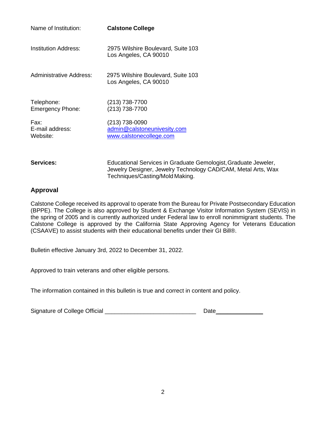| Name of Institution:                  | <b>Calstone College</b>                                                  |
|---------------------------------------|--------------------------------------------------------------------------|
| <b>Institution Address:</b>           | 2975 Wilshire Boulevard, Suite 103<br>Los Angeles, CA 90010              |
| <b>Administrative Address:</b>        | 2975 Wilshire Boulevard, Suite 103<br>Los Angeles, CA 90010              |
| Telephone:<br><b>Emergency Phone:</b> | (213) 738-7700<br>(213) 738-7700                                         |
| Fax:<br>E-mail address:<br>Website:   | (213) 738-0090<br>admin@calstoneunivesity.com<br>www.calstonecollege.com |

**Services:** Educational Services in Graduate Gemologist,Graduate Jeweler, Jewelry Designer, Jewelry Technology CAD/CAM, Metal Arts, Wax Techniques/Casting/Mold Making.

### **Approval**

Calstone College received its approval to operate from the Bureau for Private Postsecondary Education (BPPE). The College is also approved by Student & Exchange Visitor Information System (SEVIS) in the spring of 2005 and is currently authorized under Federal law to enroll nonimmigrant students. The Calstone College is approved by the California State Approving Agency for Veterans Education (CSAAVE) to assist students with their educational benefits under their GI Bill®.

Bulletin effective January 3rd, 2022 to December 31, 2022.

Approved to train veterans and other eligible persons.

The information contained in this bulletin is true and correct in content and policy.

Signature of College Official \_\_\_\_\_\_\_\_\_\_\_\_\_\_\_\_\_\_\_\_\_\_\_\_\_\_\_\_ Date \_\_\_\_\_\_\_\_\_\_\_\_\_\_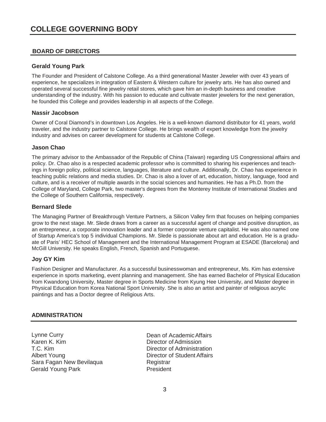#### **BOARD OF DIRECTORS**

#### **Gerald Young Park**

The Founder and President of Calstone College. As a third generational Master Jeweler with over 43 years of experience, he specializes in integration of Eastern & Western culture for jewelry arts. He has also owned and operated several successful fine jewelry retail stores, which gave him an in-depth business and creative understanding of the industry. With his passion to educate and cultivate master jewelers for the next generation, he founded this College and provides leadership in all aspects of the College.

#### **Nassir Jacobson**

Owner of Coral Diamond's in downtown Los Angeles. He is a well-known diamond distributor for 41 years, world traveler, and the industry partner to Calstone College. He brings wealth of expert knowledge from the jewelry industry and advises on career development for students at Calstone College.

#### **Jason Chao**

The primary advisor to the Ambassador of the Republic of China (Taiwan) regarding US Congressional affairs and policy. Dr. Chao also is a respected academic professor who is committed to sharing his experiences and teachings in foreign policy, political science, languages, literature and culture. Additionally, Dr. Chao has experience in teaching public relations and media studies. Dr. Chao is also a lover of art, education, history, language, food and culture, and is a receiver of multiple awards in the social sciences and humanities. He has a Ph.D. from the College of Maryland, College Park, two master's degrees from the Monterey Institute of International Studies and the College of Southern California, respectively.

#### **Bernard Slede**

The Managing Partner of Breakthrough Venture Partners, a Silicon Valley firm that focuses on helping companies grow to the next stage. Mr. Slede draws from a career as a successful agent of change and positive disruption, as an entrepreneur, a corporate innovation leader and a former corporate venture capitalist. He was also named one of Startup America's top 5 individual Champions. Mr. Slede is passionate about art and education. He is a graduate of Paris' HEC School of Management and the International Management Program at ESADE (Barcelona) and McGill University. He speaks English, French, Spanish and Portuguese.

#### **Joy GY Kim**

Fashion Designer and Manufacturer. As a successful businesswoman and entrepreneur, Ms. Kim has extensive experience in sports marketing, event planning and management. She has earned Bachelor of Physical Education from Kwandong University, Master degree in Sports Medicine from Kyung Hee University, and Master degree in Physical Education from Korea National Sport University. She is also an artist and painter of religious acrylic paintings and has a Doctor degree of Religious Arts.

#### **ADMINISTRATION**

Lynne Curry **Dean of Academic Affairs** Karen K. Kim Director ofAdmission T.C. Kim and the contract of Administration Director of Administration<br>Albert Young and the Contract of Student Affairs Sara Fagan New Bevilaqua **Registrar** Gerald Young Park **President** 

Director of Student Affairs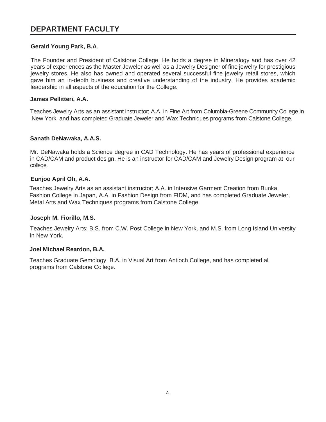# <span id="page-5-0"></span>**DEPARTMENT FACULTY**

#### **Gerald Young Park, B.A**.

The Founder and President of Calstone College. He holds a degree in Mineralogy and has over 42 years of experiences as the Master Jeweler as well as a Jewelry Designer of fine jewelry for prestigious jewelry stores. He also has owned and operated several successful fine jewelry retail stores, which gave him an in-depth business and creative understanding of the industry. He provides academic leadership in all aspects of the education for the College.

#### **James Pellitteri, A.A.**

Teaches Jewelry Arts as an assistant instructor; A.A. in Fine Art from Columbia-Greene Community College in New York, and has completed Graduate Jeweler and Wax Techniques programs from Calstone College.

#### **Sanath DeNawaka, A.A.S.**

Mr. DeNawaka holds a Science degree in CAD Technology. He has years of professional experience in CAD/CAM and product design. He is an instructor for CAD/CAM and Jewelry Design program at our college.

#### **Eunjoo April Oh, A.A.**

Teaches Jewelry Arts as an assistant instructor; A.A. in Intensive Garment Creation from Bunka Fashion College in Japan, A.A. in Fashion Design from FIDM, and has completed Graduate Jeweler, Metal Arts and Wax Techniques programs from Calstone College.

#### **Joseph M. Fiorillo, M.S.**

Teaches Jewelry Arts; B.S. from C.W. Post College in New York, and M.S. from Long Island University in New York.

#### **Joel Michael Reardon, B.A.**

Teaches Graduate Gemology; B.A. in Visual Art from Antioch College, and has completed all programs from Calstone College.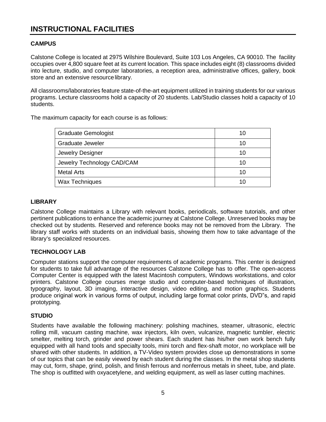# <span id="page-6-0"></span>**INSTRUCTIONAL FACILITIES**

#### **CAMPUS**

Calstone College is located at 2975 Wilshire Boulevard, Suite 103 Los Angeles, CA 90010. The facility occupies over 4,800 square feet at its current location. This space includes eight (8) classrooms divided into lecture, studio, and computer laboratories, a reception area, administrative offices, gallery, book store and an extensive resourcelibrary.

All classrooms/laboratories feature state-of-the-art equipment utilized in training students for our various programs. Lecture classrooms hold a capacity of 20 students. Lab/Studio classes hold a capacity of 10 students.

The maximum capacity for each course is as follows:

| <b>Graduate Gemologist</b> | 10 |
|----------------------------|----|
| <b>Graduate Jeweler</b>    | 10 |
| Jewelry Designer           | 10 |
| Jewelry Technology CAD/CAM | 10 |
| <b>Metal Arts</b>          | 10 |
| <b>Wax Techniques</b>      |    |

#### **LIBRARY**

Calstone College maintains a Library with relevant books, periodicals, software tutorials, and other pertinent publications to enhance the academic journey at Calstone College. Unreserved books may be checked out by students. Reserved and reference books may not be removed from the Library. The library staff works with students on an individual basis, showing them how to take advantage of the library's specialized resources.

### **TECHNOLOGY LAB**

Computer stations support the computer requirements of academic programs. This center is designed for students to take full advantage of the resources Calstone College has to offer. The open-access Computer Center is equipped with the latest Macintosh computers, Windows workstations, and color printers. Calstone College courses merge studio and computer-based techniques of illustration, typography, layout, 3D imaging, interactive design, video editing, and motion graphics. Students produce original work in various forms of output, including large format color prints, DVD"s, and rapid prototyping.

#### **STUDIO**

Students have available the following machinery: polishing machines, steamer, ultrasonic, electric rolling mill, vacuum casting machine, wax injectors, kiln oven, vulcanize, magnetic tumbler, electric smelter, melting torch, grinder and power shears. Each student has his/her own work bench fully equipped with all hand tools and specialty tools, mini torch and flex-shaft motor, no workplace will be shared with other students. In addition, a TV-Video system provides close up demonstrations in some of our topics that can be easily viewed by each student during the classes. In the metal shop students may cut, form, shape, grind, polish, and finish ferrous and nonferrous metals in sheet, tube, and plate. The shop is outfitted with oxyacetylene, and welding equipment, as well as laser cutting machines.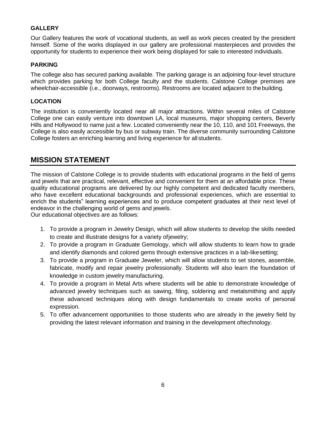#### **GALLERY**

Our Gallery features the work of vocational students, as well as work pieces created by the president himself. Some of the works displayed in our gallery are professional masterpieces and provides the opportunity for students to experience their work being displayed for sale to interested individuals.

#### **PARKING**

The college also has secured parking available. The parking garage is an adjoining four-level structure which provides parking for both College faculty and the students. Calstone College premises are wheelchair-accessible (i.e., doorways, restrooms). Restrooms are located adjacent to thebuilding.

#### **LOCATION**

The institution is conveniently located near all major attractions. Within several miles of Calstone College one can easily venture into downtown LA, local museums, major shopping centers, Beverly Hills and Hollywood to name just a few. Located conveniently near the 10, 110, and 101 Freeways, the College is also easily accessible by bus or subway train. The diverse community surrounding Calstone College fosters an enriching learning and living experience for all students.

## **MISSION STATEMENT**

The mission of Calstone College is to provide students with educational programs in the field of gems and jewels that are practical, relevant, effective and convenient for them at an affordable price. These quality educational programs are delivered by our highly competent and dedicated faculty members, who have excellent educational backgrounds and professional experiences, which are essential to enrich the students" learning experiences and to produce competent graduates at their next level of endeavor in the challenging world of gems and jewels.

Our educational objectives are as follows:

- 1. To provide a program in Jewelry Design, which will allow students to develop the skills needed to create and illustrate designs for a variety ofjewelry;
- 2. To provide a program in Graduate Gemology, which will allow students to learn how to grade and identify diamonds and colored gems through extensive practices in a lab-likesetting;
- 3. To provide a program in Graduate Jeweler, which will allow students to set stones, assemble, fabricate, modify and repair jewelry professionally. Students will also learn the foundation of knowledge in custom jewelry manufacturing.
- 4. To provide a program in Metal Arts where students will be able to demonstrate knowledge of advanced jewelry techniques such as sawing, filing, soldering and metalsmithing and apply these advanced techniques along with design fundamentals to create works of personal expression.
- 5. To offer advancement opportunities to those students who are already in the jewelry field by providing the latest relevant information and training in the development oftechnology.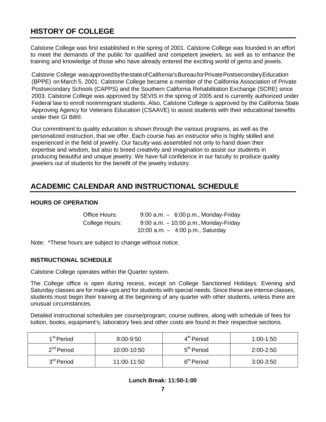# **HISTORY OF COLLEGE**

Calstone College was first established in the spring of 2001. Calstone College was founded in an effort to meet the demands of the public for qualified and competent jewelers, as well as to enhance the training and knowledge of those who have already entered the exciting world of gems and jewels.

Calstone College was approved by the state of California's Bureaufor Private Postsecondary Education (BPPE) on March 5, 2001. Calstone College became a member of the California Association of Private Postsecondary Schools (CAPPS) and the Southern California Rehabilitation Exchange (SCRE) since 2003. Calstone College was approved by SEVIS in the spring of 2005 and is currently authorized under Federal law to enroll nonimmigrant students. Also, Calstone College is approved by the California State Approving Agency for Veterans Education (CSAAVE) to assist students with their educational benefits under their GI Bill®.

Our commitment to quality education is shown through the various programs, as well as the personalized instruction, that we offer. Each course has an instructor who is highly skilled and experienced in the field of jewelry. Our faculty was assembled not only to hand down their expertise and wisdom, but also to breed creativity and imagination to assist our students in producing beautiful and unique jewelry. We have full confidence in our faculty to produce quality jewelers out of students for the benefit of the jewelry industry.

# **ACADEMIC CALENDAR AND INSTRUCTIONAL SCHEDULE**

#### **HOURS OF OPERATION**

| Office Hours:  | $9:00$ a.m. $-6:00$ p.m., Monday-Friday  |
|----------------|------------------------------------------|
| College Hours: | $9:00$ a.m. $-10:00$ p.m., Monday-Friday |
|                | 10:00 $a.m. - 4:00$ p.m., Saturday       |

Note: \*These hours are subject to change without notice.

#### **INSTRUCTIONAL SCHEDULE**

Calstone College operates within the Quarter system.

The College office is open during recess, except on College Sanctioned Holidays. Evening and Saturday classes are for make-ups and for students with special needs. Since these are intense classes, students must begin their training at the beginning of any quarter with other students, unless there are unusual circumstances.

Detailed instructional schedules per course/program, course outlines, along with schedule of fees for tuition, books, equipment's, laboratory fees and other costs are found in their respective sections.

| 1 <sup>st</sup> Period | $9:00 - 9:50$ | 4 <sup>th</sup> Period | 1:00-1:50     |
|------------------------|---------------|------------------------|---------------|
| 2 <sup>nd</sup> Period | 10:00-10:50   | 5 <sup>th</sup> Period | $2:00 - 2:50$ |
| 3 <sup>rd</sup> Period | 11:00-11:50   | 6 <sup>th</sup> Period | $3:00 - 3:50$ |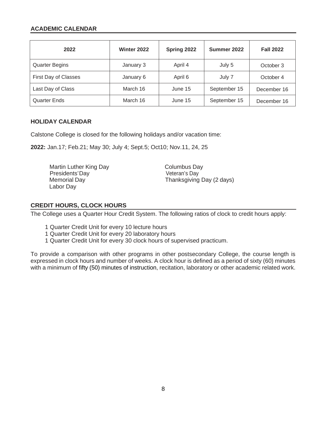#### **ACADEMIC CALENDAR**

| 2022                  | Winter 2022 | Spring 2022 | Summer 2022  | <b>Fall 2022</b> |
|-----------------------|-------------|-------------|--------------|------------------|
| <b>Quarter Begins</b> | January 3   | April 4     | July 5       | October 3        |
| First Day of Classes  | January 6   | April 6     | July 7       | October 4        |
| Last Day of Class     | March 16    | June 15     | September 15 | December 16      |
| <b>Quarter Ends</b>   | March 16    | June 15     | September 15 | December 16      |

#### **HOLIDAY CALENDAR**

Calstone College is closed for the following holidays and/or vacation time:

**2022:** Jan.17; Feb.21; May 30; July 4; Sept.5; Oct10; Nov.11, 24, 25

Martin Luther King Day<br>Presidents'Day Martin Columbus Day<br>Veteran's Day Presidents'Day<br>Memorial Day Labor Day

Thanksgiving Day (2 days)

#### **CREDIT HOURS, CLOCK HOURS**

The College uses a Quarter Hour Credit System. The following ratios of clock to credit hours apply:

- 1 Quarter Credit Unit for every 10 lecture hours
- 1 Quarter Credit Unit for every 20 laboratory hours
- 1 Quarter Credit Unit for every 30 clock hours of supervised practicum.

To provide a comparison with other programs in other postsecondary College, the course length is expressed in clock hours and number of weeks. A clock hour is defined as a period of sixty (60) minutes with a minimum of fifty (50) minutes of instruction, recitation, laboratory or other academic related work.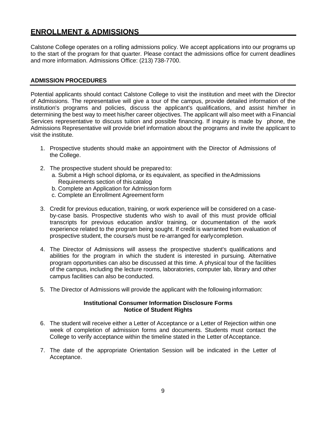# <span id="page-10-0"></span>**ENROLLMENT & ADMISSIONS**

Calstone College operates on a rolling admissions policy. We accept applications into our programs up to the start of the program for that quarter. Please contact the admissions office for current deadlines and more information. Admissions Office: (213) 738-7700.

#### **ADMISSION PROCEDURES**

Potential applicants should contact Calstone College to visit the institution and meet with the Director of Admissions. The representative will give a tour of the campus, provide detailed information of the institution's programs and policies, discuss the applicant's qualifications, and assist him/her in determining the best way to meet his/her career objectives. The applicant will also meet with a Financial Services representative to discuss tuition and possible financing. If inquiry is made by phone, the Admissions Representative will provide brief information about the programs and invite the applicant to visit the institute.

- 1. Prospective students should make an appointment with the Director of Admissions of the College.
- 2. The prospective student should be prepared to:
	- a. Submit a High school diploma, or its equivalent, as specified in theAdmissions Requirements section of this catalog
	- b. Complete an Application for Admission form
	- c. Complete an Enrollment Agreement form
- 3. Credit for previous education, training, or work experience will be considered on a caseby-case basis. Prospective students who wish to avail of this must provide official transcripts for previous education and/or training, or documentation of the work experience related to the program being sought. If credit is warranted from evaluation of prospective student, the course/s must be re-arranged for earlycompletion.
- 4. The Director of Admissions will assess the prospective student's qualifications and abilities for the program in which the student is interested in pursuing. Alternative program opportunities can also be discussed at this time. A physical tour of the facilities of the campus, including the lecture rooms, laboratories, computer lab, library and other campus facilities can also be conducted.
- 5. The Director of Admissions will provide the applicant with the following information:

#### **Institutional Consumer Information Disclosure Forms Notice of Student Rights**

- 6. The student will receive either a Letter of Acceptance or a Letter of Rejection within one week of completion of admission forms and documents. Students must contact the College to verify acceptance within the timeline stated in the Letter of Acceptance.
- 7. The date of the appropriate Orientation Session will be indicated in the Letter of Acceptance.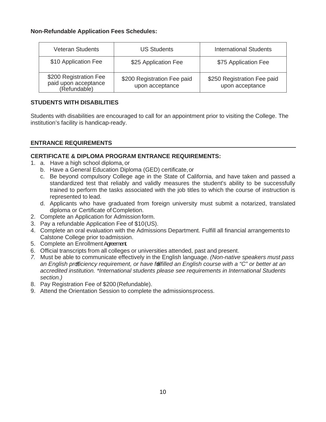#### **Non-Refundable Application Fees Schedules:**

| <b>Veteran Students</b>                                        | <b>US Students</b>                             | <b>International Students</b>                  |
|----------------------------------------------------------------|------------------------------------------------|------------------------------------------------|
| \$10 Application Fee                                           | \$25 Application Fee                           | \$75 Application Fee                           |
| \$200 Registration Fee<br>paid upon acceptance<br>(Refundable) | \$200 Registration Fee paid<br>upon acceptance | \$250 Registration Fee paid<br>upon acceptance |

#### **STUDENTS WITH DISABILITIES**

Students with disabilities are encouraged to call for an appointment prior to visiting the College. The institution's facility is handicap-ready.

#### **ENTRANCE REQUIREMENTS**

#### **CERTIFICATE & DIPLOMA PROGRAM ENTRANCE REQUIREMENTS:**

- 1. a. Have a high school diploma, or
	- b. Have a General Education Diploma (GED) certificate,or
	- c. Be beyond compulsory College age in the State of California, and have taken and passed a standardized test that reliably and validly measures the student's ability to be successfully trained to perform the tasks associated with the job titles to which the course of instruction is represented to lead.
	- d. Applicants who have graduated from foreign university must submit a notarized, translated diploma or Certificate of Completion.
- 2. Complete an Application for Admission form.
- 3. Pay a refundable Application Fee of \$10(US).
- 4. Complete an oral evaluation with the Admissions Department. Fulfill all financial arrangements to Calstone College prior toadmission.
- 5. Complete an Enrollment Agreement.
- 6. Official transcripts from all colleges or universities attended, past and present.
- *7.* Must be able to communicate effectively in the English language. *(Non-native speakers must pass an English proficiency requirement, or have fulfilled an English course with a "C" or better at an accredited institution. \*International students please see requirements in International Students section.)*
- 8. Pay Registration Fee of \$200 (Refundable).
- 9. Attend the Orientation Session to complete the admissionsprocess.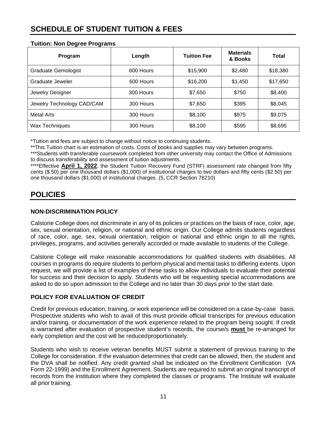# <span id="page-12-0"></span>**SCHEDULE OF STUDENT TUITION & FEES**

|  |  |  | <b>Tuition: Non Degree Programs</b> |
|--|--|--|-------------------------------------|
|--|--|--|-------------------------------------|

| Program                    | Length    | <b>Tuition Fee</b> | <b>Materials</b><br>& Books | Total    |
|----------------------------|-----------|--------------------|-----------------------------|----------|
| <b>Graduate Gemologist</b> | 600 Hours | \$15,900           | \$2,480                     | \$18,380 |
| Graduate Jeweler           | 600 Hours | \$16,200           | \$1,450                     | \$17,650 |
| Jewelry Designer           | 300 Hours | \$7,650            | \$750                       | \$8,400  |
| Jewelry Technology CAD/CAM | 300 Hours | \$7,650            | \$395                       | \$8,045  |
| <b>Metal Arts</b>          | 300 Hours | \$8,100            | \$975                       | \$9,075  |
| Wax Techniques             | 300 Hours | \$8,100            | \$595                       | \$8,695  |

\*Tuition and fees are subject to change without notice to continuing students.

\*\*This Tuition chart is an estimation of costs. Costs of books and supplies may vary between programs.

\*\*\*Students with transferable coursework completed from other university may contact the Office of Admissions to discuss transferability and assessment of tuition adjustments.

\*\*\*\*Effective **April 1, 2022**, the Student Tuition Recovery Fund (STRF) assessment rate changed from fifty cents (\$.50) per one thousand dollars (\$1,000) of institutional charges to two dollars and fifty cents (\$2.50) per one thousand dollars (\$1,000) of institutional charges. (5, CCR Section 76210)

# <span id="page-12-1"></span>**POLICIES**

#### <span id="page-12-2"></span>**NON-DISCRIMINATION POLICY**

Calstone College does not discriminate in any of its policies or practices on the basis of race, color, age, sex, sexual orientation, religion, or national and ethnic origin. Our College admits students regardless of race, color, age, sex, sexual orientation, religion or national and ethnic origin to all the rights, privileges, programs, and activities generally accorded or made available to students of the College.

Calstone College will make reasonable accommodations for qualified students with disabilities. All courses in programs do require students to perform physical and mental tasks to differing extents. Upon request, we will provide a list of examples of these tasks to allow individuals to evaluate their potential for success and their decision to apply. Students who will be requesting special accommodations are asked to do so upon admission to the College and no later than 30 days prior to the start date.

### **POLICY FOR EVALUATION OF CREDIT**

Credit for previous education, training, or work experience will be considered on a case-by-case basis. Prospective students who wish to avail of this must provide official transcripts for previous education and/or training, or documentation of the work experience related to the program being sought. If credit is warranted after evaluation of prospective student's records, the course/s **must** be re-arranged for early completion and the cost will be reducedproportionately.

Students who wish to receive veteran benefits MUST submit a statement of previous training to the College for consideration. If the evaluation determines that credit can be allowed, then, the student and the DVA shall be notified. Any credit granted shall be indicated on the Enrollment Certification (VA Form 22-1999) and the Enrollment Agreement. Students are required to submit an original transcript of records from the institution where they completed the classes or programs. The Institute will evaluate all prior training.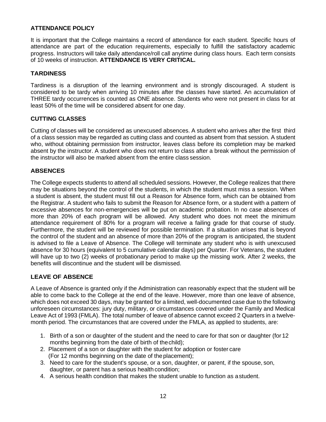#### <span id="page-13-0"></span>**ATTENDANCE POLICY**

It is important that the College maintains a record of attendance for each student. Specific hours of attendance are part of the education requirements, especially to fulfill the satisfactory academic progress. Instructors will take daily attendance/roll call anytime during class hours. Each term consists of 10 weeks of instruction. **ATTENDANCE IS VERY CRITICAL.**

#### **TARDINESS**

Tardiness is a disruption of the learning environment and is strongly discouraged. A student is considered to be tardy when arriving 10 minutes after the classes have started. An accumulation of THREE tardy occurrences is counted as ONE absence. Students who were not present in class for at least 50% of the time will be considered absent for one day.

#### **CUTTING CLASSES**

Cutting of classes will be considered as unexcused absences. A student who arrives after the first third of a class session may be regarded as cutting class and counted as absent from that session. A student who, without obtaining permission from instructor, leaves class before its completion may be marked absent by the instructor. A student who does not return to class after a break without the permission of the instructor will also be marked absent from the entire class session.

#### **ABSENCES**

The College expects students to attend all scheduled sessions. However, the College realizes that there may be situations beyond the control of the students, in which the student must miss a session. When a student is absent, the student must fill out a Reason for Absence form, which can be obtained from the Registrar. A student who fails to submit the Reason for Absence form, or a student with a pattern of excessive absences for non-emergencies will be put on academic probation. In no case absences of more than 20% of each program will be allowed. Any student who does not meet the minimum attendance requirement of 80% for a program will receive a failing grade for that course of study. Furthermore, the student will be reviewed for possible termination. If a situation arises that is beyond the control of the student and an absence of more than 20% of the program is anticipated, the student is advised to file a Leave of Absence. The College will terminate any student who is with unexcused absence for 30 hours (equivalent to 5 cumulative calendar days) per Quarter. For Veterans, the student will have up to two (2) weeks of probationary period to make up the missing work. After 2 weeks, the benefits will discontinue and the student will be dismissed.

### <span id="page-13-1"></span>**LEAVE OF ABSENCE**

A Leave of Absence is granted only if the Administration can reasonably expect that the student will be able to come back to the College at the end of the leave. However, more than one leave of absence, which does not exceed 30 days, may be granted for a limited, well-documented case due to the following unforeseen circumstances: jury duty, military, or circumstances covered under the Family and Medical Leave Act of 1993 (FMLA). The total number of leave of absence cannot exceed 2 Quarters in a twelvemonth period. The circumstances that are covered under the FMLA, as applied to students, are:

- 1. Birth of a son or daughter of the student and the need to care for that son or daughter (for 12 months beginning from the date of birth of thechild);
- 2. Placement of a son or daughter with the student for adoption or foster care (For 12 months beginning on the date of theplacement);
- 3. Need to care for the student's spouse, or a son, daughter, or parent, if the spouse, son, daughter, or parent has a serious health condition;
- 4. A serious health condition that makes the student unable to function as astudent.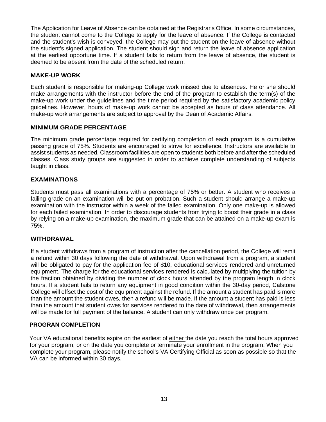The Application for Leave of Absence can be obtained at the Registrar's Office. In some circumstances, the student cannot come to the College to apply for the leave of absence. If the College is contacted and the student's wish is conveyed, the College may put the student on the leave of absence without the student's signed application. The student should sign and return the leave of absence application at the earliest opportune time. If a student fails to return from the leave of absence, the student is deemed to be absent from the date of the scheduled return.

#### **MAKE-UP WORK**

Each student is responsible for making-up College work missed due to absences. He or she should make arrangements with the instructor before the end of the program to establish the term(s) of the make-up work under the guidelines and the time period required by the satisfactory academic policy guidelines. However, hours of make-up work cannot be accepted as hours of class attendance. All make-up work arrangements are subject to approval by the Dean of Academic Affairs.

#### **MINIMUM GRADE PERCENTAGE**

The minimum grade percentage required for certifying completion of each program is a cumulative passing grade of 75%. Students are encouraged to strive for excellence. Instructors are available to assist students as needed. Classroom facilities are open to students both before and after the scheduled classes. Class study groups are suggested in order to achieve complete understanding of subjects taught in class.

#### <span id="page-14-0"></span>**EXAMINATIONS**

Students must pass all examinations with a percentage of 75% or better. A student who receives a failing grade on an examination will be put on probation. Such a student should arrange a make-up examination with the instructor within a week of the failed examination. Only one make-up is allowed for each failed examination. In order to discourage students from trying to boost their grade in a class by relying on a make-up examination, the maximum grade that can be attained on a make-up exam is 75%.

#### <span id="page-14-1"></span>**WITHDRAWAL**

If a student withdraws from a program of instruction after the cancellation period, the College will remit a refund within 30 days following the date of withdrawal. Upon withdrawal from a program, a student will be obligated to pay for the application fee of \$10, educational services rendered and unreturned equipment. The charge for the educational services rendered is calculated by multiplying the tuition by the fraction obtained by dividing the number of clock hours attended by the program length in clock hours. If a student fails to return any equipment in good condition within the 30-day period, Calstone College will offset the cost of the equipment against the refund. If the amount a student has paid is more than the amount the student owes, then a refund will be made. If the amount a student has paid is less than the amount that student owes for services rendered to the date of withdrawal, then arrangements will be made for full payment of the balance. A student can only withdraw once per program.

#### **PROGRAN COMPLETION**

Your VA educational benefits expire on the earliest of either the date you reach the total hours approved for your program, or on the date you complete or terminate your enrollment in the program. When you complete your program, please notify the school's VA Certifying Official as soon as possible so that the VA can be informed within 30 days.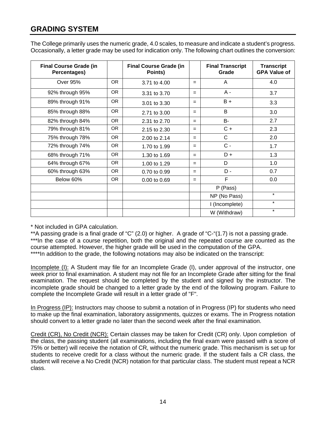# <span id="page-15-0"></span>**GRADING SYSTEM**

| The College primarily uses the numeric grade, 4.0 scales, to measure and indicate a student's progress.    |  |
|------------------------------------------------------------------------------------------------------------|--|
| Occasionally, a letter grade may be used for indication only. The following chart outlines the conversion: |  |

| <b>Final Course Grade (in</b><br>Percentages) |           | <b>Final Course Grade (in</b><br>Points) |     | <b>Final Transcript</b><br>Grade | <b>Transcript</b><br><b>GPA Value of</b> |
|-----------------------------------------------|-----------|------------------------------------------|-----|----------------------------------|------------------------------------------|
| <b>Over 95%</b>                               | OR.       | 3.71 to 4.00                             | $=$ | A                                | 4.0                                      |
| 92% through 95%                               | OR.       | 3.31 to 3.70                             | $=$ | A -                              | 3.7                                      |
| 89% through 91%                               | OR.       | 3.01 to 3.30                             | $=$ | $B +$                            | 3.3                                      |
| 85% through 88%                               | OR.       | 2.71 to 3.00                             | $=$ | B                                | 3.0                                      |
| 82% through 84%                               | OR.       | 2.31 to 2.70                             | $=$ | <b>B-</b>                        | 2.7                                      |
| 79% through 81%                               | OR.       | 2.15 to 2.30                             | $=$ | $C +$                            | 2.3                                      |
| 75% through 78%                               | <b>OR</b> | 2.00 to 2.14                             | $=$ | C                                | 2.0                                      |
| 72% through 74%                               | <b>OR</b> | 1.70 to 1.99                             | $=$ | $C -$                            | 1.7                                      |
| 68% through 71%                               | <b>OR</b> | 1.30 to 1.69                             | $=$ | $D +$                            | 1.3                                      |
| 64% through 67%                               | OR.       | 1.00 to 1.29                             | $=$ | D                                | 1.0                                      |
| 60% through 63%                               | OR.       | 0.70 to 0.99                             | $=$ | $D -$                            | 0.7                                      |
| Below 60%                                     | <b>OR</b> | 0.00 to 0.69                             | $=$ | F                                | 0.0                                      |
|                                               |           |                                          |     | P (Pass)                         |                                          |
|                                               |           |                                          |     | NP (No Pass)                     | $\star$                                  |
|                                               |           |                                          |     | I (Incomplete)                   | $\star$                                  |
|                                               |           |                                          |     | W (Withdraw)                     | $\star$                                  |

\* Not included in GPA calculation.

\*\*A passing grade is a final grade of "C" (2.0) or higher. A grade of "C-"(1.7) is not a passing grade. \*\*\*In the case of a course repetition, both the original and the repeated course are counted as the course attempted. However, the higher grade will be used in the computation of the GPA. \*\*\*\*In addition to the grade, the following notations may also be indicated on the transcript:

Incomplete (I): A Student may file for an Incomplete Grade (I), under approval of the instructor, one week prior to final examination. A student may not file for an Incomplete Grade after sitting for the final examination. The request should be completed by the student and signed by the instructor. The incomplete grade should be changed to a letter grade by the end of the following program. Failure to complete the Incomplete Grade will result in a letter grade of "F".

In Progress (IP): Instructors may choose to submit a notation of in Progress (IP) for students who need to make up the final examination, laboratory assignments, quizzes or exams. The in Progress notation should convert to a letter grade no later than the second week after the final examination.

Credit (CR), No Credit (NCR): Certain classes may be taken for Credit (CR) only. Upon completion of the class, the passing student (all examinations, including the final exam were passed with a score of 75% or better) will receive the notation of CR, without the numeric grade. This mechanism is set up for students to receive credit for a class without the numeric grade. If the student fails a CR class, the student will receive a No Credit (NCR) notation for that particular class. The student must repeat a NCR class.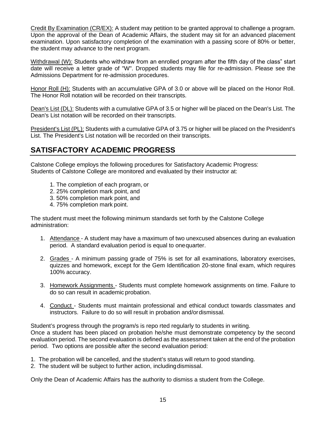Credit By Examination (CR/EX): A student may petition to be granted approval to challenge a program. Upon the approval of the Dean of Academic Affairs, the student may sit for an advanced placement examination. Upon satisfactory completion of the examination with a passing score of 80% or better, the student may advance to the next program.

Withdrawal (W): Students who withdraw from an enrolled program after the fifth day of the class" start date will receive a letter grade of "W". Dropped students may file for re-admission. Please see the Admissions Department for re-admission procedures.

Honor Roll (H): Students with an accumulative GPA of 3.0 or above will be placed on the Honor Roll. The Honor Roll notation will be recorded on their transcripts.

Dean's List (DL): Students with a cumulative GPA of 3.5 or higher will be placed on the Dean's List. The Dean's List notation will be recorded on their transcripts.

President's List (PL): Students with a cumulative GPA of 3.75 or higher will be placed on the President's List. The President's List notation will be recorded on their transcripts.

# <span id="page-16-0"></span>**SATISFACTORY ACADEMIC PROGRESS**

Calstone College employs the following procedures for Satisfactory Academic Progress: Students of Calstone College are monitored and evaluated by their instructor at:

- 1. The completion of each program, or
- 2. 25% completion mark point, and
- 3. 50% completion mark point, and
- 4. 75% completion mark point.

The student must meet the following minimum standards set forth by the Calstone College administration:

- 1. Attendance A student may have a maximum of two unexcused absences during an evaluation period. A standard evaluation period is equal to onequarter.
- 2. Grades A minimum passing grade of 75% is set for all examinations, laboratory exercises, quizzes and homework, except for the Gem Identification 20-stone final exam, which requires 100% accuracy.
- 3. Homework Assignments Students must complete homework assignments on time. Failure to do so can result in academic probation.
- 4. Conduct Students must maintain professional and ethical conduct towards classmates and instructors. Failure to do so will result in probation and/ordismissal.

Student's progress through the program/s is repo rted regularly to students in writing. Once a student has been placed on probation he/she must demonstrate competency by the second evaluation period. The second evaluation is defined as the assessment taken at the end of the probation period. Two options are possible after the second evaluation period:

- 1. The probation will be cancelled, and the student's status will return to good standing.
- 2. The student will be subject to further action, includingdismissal.

Only the Dean of Academic Affairs has the authority to dismiss a student from the College.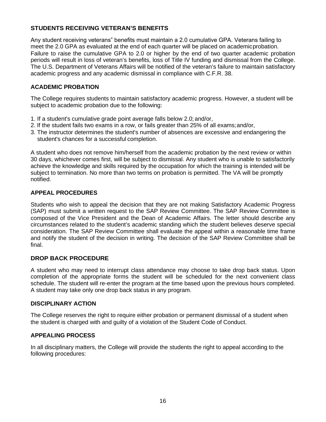### **STUDENTS RECEIVING VETERAN'S BENEFITS**

Any student receiving veterans" benefits must maintain a 2.0 cumulative GPA. Veterans failing to meet the 2.0 GPA as evaluated at the end of each quarter will be placed on academicprobation. Failure to raise the cumulative GPA to 2.0 or higher by the end of two quarter academic probation periods will result in loss of veteran's benefits, loss of Title IV funding and dismissal from the College. The U.S. Department of Veterans Affairs will be notified of the veteran's failure to maintain satisfactory academic progress and any academic dismissal in compliance with C.F.R. 38.

#### <span id="page-17-0"></span>**ACADEMIC PROBATION**

The College requires students to maintain satisfactory academic progress. However, a student will be subject to academic probation due to the following:

- 1. If a student's cumulative grade point average falls below 2.0; and/or,
- 2. If the student fails two exams in a row, or fails greater than 25% of all exams;and/or,
- 3. The instructor determines the student's number of absences are excessive and endangering the student's chances for a successful completion.

A student who does not remove him/herself from the academic probation by the next review or within 30 days, whichever comes first, will be subject to dismissal. Any student who is unable to satisfactorily achieve the knowledge and skills required by the occupation for which the training is intended will be subject to termination. No more than two terms on probation is permitted. The VA will be promptly notified.

#### **APPEAL PROCEDURES**

Students who wish to appeal the decision that they are not making Satisfactory Academic Progress (SAP) must submit a written request to the SAP Review Committee. The SAP Review Committee is composed of the Vice President and the Dean of Academic Affairs. The letter should describe any circumstances related to the student's academic standing which the student believes deserve special consideration. The SAP Review Committee shall evaluate the appeal within a reasonable time frame and notify the student of the decision in writing. The decision of the SAP Review Committee shall be final.

#### **DROP BACK PROCEDURE**

A student who may need to interrupt class attendance may choose to take drop back status. Upon completion of the appropriate forms the student will be scheduled for the next convenient class schedule. The student will re-enter the program at the time based upon the previous hours completed. A student may take only one drop back status in any program.

#### **DISCIPLINARY ACTION**

The College reserves the right to require either probation or permanent dismissal of a student when the student is charged with and guilty of a violation of the Student Code of Conduct.

#### <span id="page-17-1"></span>**APPEALING PROCESS**

In all disciplinary matters, the College will provide the students the right to appeal according to the following procedures: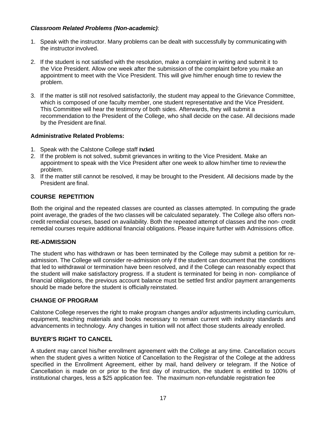#### *Classroom Related Problems (Non-academic)*:

- 1. Speak with the instructor. Many problems can be dealt with successfully by communicating with the instructor involved.
- 2. If the student is not satisfied with the resolution, make a complaint in writing and submit it to the Vice President. Allow one week after the submission of the complaint before you make an appointment to meet with the Vice President. This will give him/her enough time to review the problem.
- 3. If the matter is still not resolved satisfactorily, the student may appeal to the Grievance Committee, which is composed of one faculty member, one student representative and the Vice President. This Committee will hear the testimony of both sides. Afterwards, they will submit a recommendation to the President of the College, who shall decide on the case. All decisions made by the President are final.

#### **Administrative Related Problems:**

- 1. Speak with the Calstone College staff indued.
- 2. If the problem is not solved, submit grievances in writing to the Vice President. Make an appointment to speak with the Vice President after one week to allow him/her time to reviewthe problem.
- 3. If the matter still cannot be resolved, it may be brought to the President. All decisions made by the President are final.

### **COURSE REPETITION**

Both the original and the repeated classes are counted as classes attempted. In computing the grade point average, the grades of the two classes will be calculated separately. The College also offers noncredit remedial courses, based on availability. Both the repeated attempt of classes and the non- credit remedial courses require additional financial obligations. Please inquire further with Admissions office.

### **RE-ADMISSION**

The student who has withdrawn or has been terminated by the College may submit a petition for readmission. The College will consider re-admission only if the student can document that the conditions that led to withdrawal or termination have been resolved, and if the College can reasonably expect that the student will make satisfactory progress. If a student is terminated for being in non- compliance of financial obligations, the previous account balance must be settled first and/or payment arrangements should be made before the student is officially reinstated.

#### **CHANGE OF PROGRAM**

Calstone College reserves the right to make program changes and/or adjustments including curriculum, equipment, teaching materials and books necessary to remain current with industry standards and advancements in technology. Any changes in tuition will not affect those students already enrolled.

#### <span id="page-18-0"></span>**BUYER'S RIGHT TO CANCEL**

A student may cancel his/her enrollment agreement with the College at any time. Cancellation occurs when the student gives a written Notice of Cancellation to the Registrar of the College at the address specified in the Enrollment Agreement, either by mail, hand delivery or telegram. If the Notice of Cancellation is made on or prior to the first day of instruction, the student is entitled to 100% of institutional charges, less a \$25 application fee. The maximum non-refundable registration fee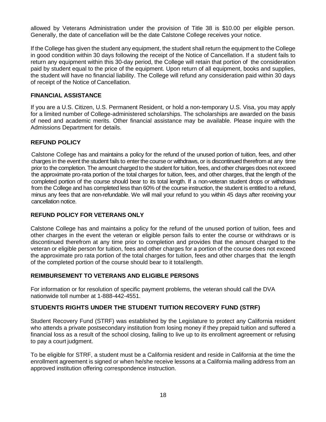allowed by Veterans Administration under the provision of Title 38 is \$10.00 per eligible person. Generally, the date of cancellation will be the date Calstone College receives your notice.

If the College has given the student any equipment, the student shall return the equipment to the College in good condition within 30 days following the receipt of the Notice of Cancellation. If a student fails to return any equipment within this 30-day period, the College will retain that portion of the consideration paid by student equal to the price of the equipment. Upon return of all equipment, books and supplies, the student will have no financial liability. The College will refund any consideration paid within 30 days of receipt of the Notice of Cancellation.

#### <span id="page-19-0"></span>**FINANCIAL ASSISTANCE**

If you are a U.S. Citizen, U.S. Permanent Resident, or hold a non-temporary U.S. Visa, you may apply for a limited number of College-administered scholarships. The scholarships are awarded on the basis of need and academic merits. Other financial assistance may be available. Please inquire with the Admissions Department for details.

#### <span id="page-19-1"></span>**REFUND POLICY**

Calstone College has and maintains a policy for the refund of the unused portion of tuition, fees, and other charges in the event the student fails to enter the course or withdraws, or is discontinued therefrom at any time prior to the completion. The amount charged to the student for tuition, fees, and other charges does not exceed the approximate pro-rata portion of the total charges for tuition, fees, and other charges, that the length of the completed portion of the course should bear to its total length. If a non-veteran student drops or withdraws from the College and has completed less than 60% of the course instruction, the student is entitled to a refund, minus any fees that are non-refundable. We will mail your refund to you within 45 days after receiving your cancellation notice.

### **REFUND POLICY FOR VETERANS ONLY**

Calstone College has and maintains a policy for the refund of the unused portion of tuition, fees and other charges in the event the veteran or eligible person fails to enter the course or withdraws or is discontinued therefrom at any time prior to completion and provides that the amount charged to the veteran or eligible person for tuition, fees and other charges for a portion of the course does not exceed the approximate pro rata portion of the total charges for tuition, fees and other charges that the length of the completed portion of the course should bear to it totallength.

#### **REIMBURSEMENT TO VETERANS AND ELIGIBLE PERSONS**

For information or for resolution of specific payment problems, the veteran should call the DVA nationwide toll number at 1-888-442-4551.

### **STUDENTS RIGHTS UNDER THE STUDENT TUITION RECOVERY FUND (STRF)**

Student Recovery Fund (STRF) was established by the Legislature to protect any California resident who attends a private postsecondary institution from losing money if they prepaid tuition and suffered a financial loss as a result of the school closing, failing to live up to its enrollment agreement or refusing to pay a court judgment.

To be eligible for STRF, a student must be a California resident and reside in California at the time the enrollment agreement is signed or when he/she receive lessons at a California mailing address from an approved institution offering correspondence instruction.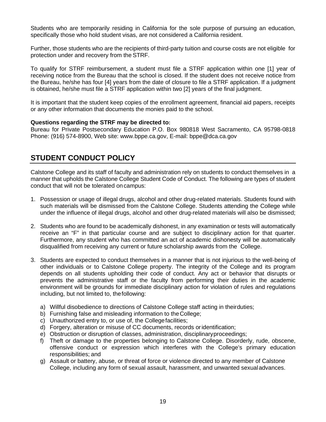Students who are temporarily residing in California for the sole purpose of pursuing an education, specifically those who hold student visas, are not considered a California resident.

Further, those students who are the recipients of third-party tuition and course costs are not eligible for protection under and recovery from the STRF.

To qualify for STRF reimbursement, a student must file a STRF application within one [1] year of receiving notice from the Bureau that the school is closed. If the student does not receive notice from the Bureau, he/she has four [4] years from the date of closure to file a STRF application. If a judgment is obtained, he/she must file a STRF application within two [2] years of the final judgment.

It is important that the student keep copies of the enrollment agreement, financial aid papers, receipts or any other information that documents the monies paid to the school.

#### **Questions regarding the STRF may be directed to:**

Bureau for Private Postsecondary Education P.O. Box 980818 West Sacramento, CA 95798-0818 Phone: (916) 574-8900, Web site: [www.bppe.ca.gov,](http://www.bppe.ca.gov/) E-mail: [bppe@dca.ca.gov](mailto:bppe@dca.ca.gov)

# <span id="page-20-0"></span>**STUDENT CONDUCT POLICY**

Calstone College and its staff of faculty and administration rely on students to conduct themselves in a manner that upholds the Calstone College Student Code of Conduct. The following are types of student conduct that will not be tolerated on campus:

- 1. Possession or usage of illegal drugs, alcohol and other drug-related materials. Students found with such materials will be dismissed from the Calstone College. Students attending the College while under the influence of illegal drugs, alcohol and other drug-related materials will also be dismissed;
- 2. Students who are found to be academically dishonest, in any examination or tests will automatically receive an "F" in that particular course and are subject to disciplinary action for that quarter. Furthermore, any student who has committed an act of academic dishonesty will be automatically disqualified from receiving any current or future scholarship awards from the College.
- 3. Students are expected to conduct themselves in a manner that is not injurious to the well-being of other individuals or to Calstone College property. The integrity of the College and its program depends on all students upholding their code of conduct. Any act or behavior that disrupts or prevents the administrative staff or the faculty from performing their duties in the academic environment will be grounds for immediate disciplinary action for violation of rules and regulations including, but not limited to, thefollowing:
	- a) Willful disobedience to directions of Calstone College staff acting in theirduties;
	- b) Furnishing false and misleading information to theCollege;
	- c) Unauthorized entry to, or use of, the Collegefacilities;
	- d) Forgery, alteration or misuse of CC documents, records oridentification;
	- e) Obstruction or disruption of classes, administration, disciplinaryproceedings;
	- f) Theft or damage to the properties belonging to Calstone College. Disorderly, rude, obscene, offensive conduct or expression which interferes with the College's primary education responsibilities; and
	- g) Assault or battery, abuse, or threat of force or violence directed to any member of Calstone College, including any form of sexual assault, harassment, and unwanted sexualadvances.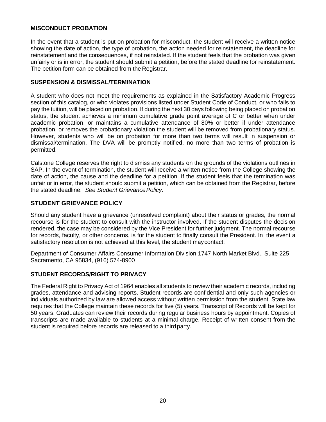#### **MISCONDUCT PROBATION**

In the event that a student is put on probation for misconduct, the student will receive a written notice showing the date of action, the type of probation, the action needed for reinstatement, the deadline for reinstatement and the consequences, if not reinstated. If the student feels that the probation was given unfairly or is in error, the student should submit a petition, before the stated deadline for reinstatement. The petition form can be obtained from the Registrar.

#### **SUSPENSION & DISMISSAL/TERMINATION**

A student who does not meet the requirements as explained in the Satisfactory Academic Progress section of this catalog, or who violates provisions listed under Student Code of Conduct, or who fails to pay the tuition, will be placed on probation. If during the next 30 days following being placed on probation status, the student achieves a minimum cumulative grade point average of C or better when under academic probation, or maintains a cumulative attendance of 80% or better if under attendance probation, or removes the probationary violation the student will be removed from probationary status. However, students who will be on probation for more than two terms will result in suspension or dismissal/termination. The DVA will be promptly notified, no more than two terms of probation is permitted.

Calstone College reserves the right to dismiss any students on the grounds of the violations outlines in SAP. In the event of termination, the student will receive a written notice from the College showing the date of action, the cause and the deadline for a petition. If the student feels that the termination was unfair or in error, the student should submit a petition, which can be obtained from the Registrar, before the stated deadline. *See Student GrievancePolicy.*

#### <span id="page-21-0"></span>**STUDENT GRIEVANCE POLICY**

Should any student have a grievance (unresolved complaint) about their status or grades, the normal recourse is for the student to consult with the instructor involved. If the student disputes the decision rendered, the case may be considered by the Vice President for further judgment. The normal recourse for records, faculty, or other concerns, is for the student to finally consult the President. In the event a satisfactory resolution is not achieved at this level, the student maycontact:

Department of Consumer Affairs Consumer Information Division 1747 North Market Blvd., Suite 225 Sacramento, CA 95834, (916) 574-8900

#### **STUDENT RECORDS/RIGHT TO PRIVACY**

The Federal Right to Privacy Act of 1964 enables all students to review their academic records, including grades, attendance and advising reports. Student records are confidential and only such agencies or individuals authorized by law are allowed access without written permission from the student. State law requires that the College maintain these records for five (5) years. Transcript of Records will be kept for 50 years. Graduates can review their records during regular business hours by appointment. Copies of transcripts are made available to students at a minimal charge. Receipt of written consent from the student is required before records are released to a third party.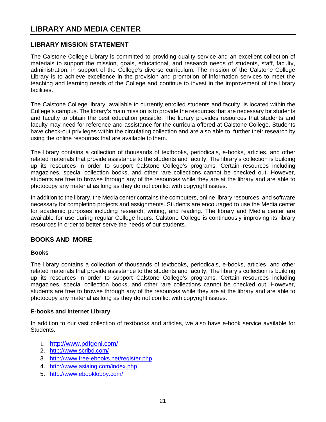# <span id="page-22-0"></span>**LIBRARY AND MEDIA CENTER**

### **LIBRARY MISSION STATEMENT**

The Calstone College Library is committed to providing quality service and an excellent collection of materials to support the mission, goals, educational, and research needs of students, staff, faculty, administration, in support of the College's diverse curriculum. The mission of the Calstone College Library is to achieve excellence in the provision and promotion of information services to meet the teaching and learning needs of the College and continue to invest in the improvement of the library facilities.

The Calstone College library, available to currently enrolled students and faculty, is located within the College's campus. The library's main mission is to provide the resources that are necessary for students and faculty to obtain the best education possible. The library provides resources that students and faculty may need for reference and assistance for the curricula offered at Calstone College. Students have check-out privileges within the circulating collection and are also able to further their research by using the online resources that are available to them.

The library contains a collection of thousands of textbooks, periodicals, e-books, articles, and other related materials that provide assistance to the students and faculty. The library's collection is building up its resources in order to support Calstone College's programs. Certain resources including magazines, special collection books, and other rare collections cannot be checked out. However, students are free to browse through any of the resources while they are at the library and are able to photocopy any material as long as they do not conflict with copyright issues.

In addition to the library, the Media center contains the computers, online library resources, and software necessary for completing projects and assignments. Students are encouraged to use the Media center for academic purposes including research, writing, and reading. The library and Media center are available for use during regular College hours. Calstone College is continuously improving its library resources in order to better serve the needs of our students.

### **BOOKS AND MORE**

#### **Books**

The library contains a collection of thousands of textbooks, periodicals, e-books, articles, and other related materials that provide assistance to the students and faculty. The library's collection is building up its resources in order to support Calstone College's programs. Certain resources including magazines, special collection books, and other rare collections cannot be checked out. However, students are free to browse through any of the resources while they are at the library and are able to photocopy any material as long as they do not conflict with copyright issues.

#### <span id="page-22-1"></span>**E-books and Internet Library**

In addition to our vast collection of textbooks and articles, we also have e-book service available for Students.

- 1. <http://www.pdfgeni.com/>
- 2. <http://www.scribd.com/>
- 3. <http://www.free-ebooks.net/register.php>
- 4. <http://www.asiaing.com/index.php>
- 5. <http://www.ebooklobby.com/>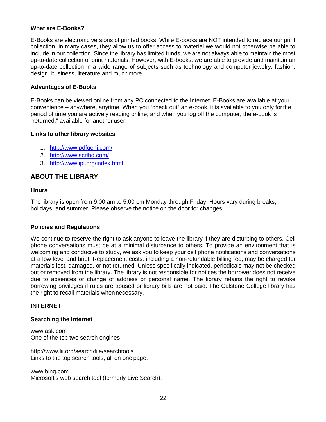#### **What are E-Books?**

E-Books are electronic versions of printed books. While E-books are NOT intended to replace our print collection, in many cases, they allow us to offer access to material we would not otherwise be able to include in our collection. Since the library has limited funds, we are not always able to maintain the most up-to-date collection of print materials. However, with E-books, we are able to provide and maintain an up-to-date collection in a wide range of subjects such as technology and computer jewelry, fashion, design, business, literature and muchmore.

#### **Advantages of E-Books**

E-Books can be viewed online from any PC connected to the Internet. E-Books are available at your convenience – anywhere, anytime. When you "check out" an e-book, it is available to you only forthe period of time you are actively reading online, and when you log off the computer, the e-book is "returned," available for another user.

#### **Links to other library websites**

- 1. <http://www.pdfgeni.com/>
- 2. <http://www.scribd.com/>
- 3. <http://www.ipl.org/index.html>

#### **ABOUT THE LIBRARY**

#### **Hours**

The library is open from 9:00 am to 5:00 pm Monday through Friday. Hours vary during breaks, holidays, and summer. Please observe the notice on the door for changes.

#### <span id="page-23-0"></span>**Policies and Regulations**

We continue to reserve the right to ask anyone to leave the library if they are disturbing to others. Cell phone conversations must be at a minimal disturbance to others. To provide an environment that is welcoming and conducive to study, we ask you to keep your cell phone notifications and conversations at a low level and brief. Replacement costs, including a non-refundable billing fee, may be charged for materials lost, damaged, or not returned. Unless specifically indicated, periodicals may not be checked out or removed from the library. The library is not responsible for notices the borrower does not receive due to absences or change of address or personal name. The library retains the right to revoke borrowing privileges if rules are abused or library bills are not paid. The Calstone College library has the right to recall materials whennecessary.

#### **INTERNET**

#### **Searching the Internet**

[www.ask.com](http://www.ask.com/) One of the top two search engines

<http://www.lii.org/search/file/searchtools> Links to the top search tools, all on one page.

[www.bing.com](http://www.bing.com/)

Microsoft's web search tool (formerly Live Search).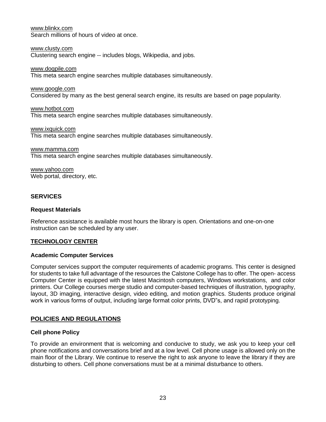[www.blinkx.com](http://www.blinkx.com/) Search millions of hours of video at once.

[www.clusty.com](http://www.clusty.com/) Clustering search engine -- includes blogs, Wikipedia, and jobs.

[www.dogpile.com](http://www.dogpile.com/)

This meta search engine searches multiple databases simultaneously.

[www.google.com](http://www.google.com/)

Considered by many as the best general search engine, its results are based on page popularity.

[www.hotbot.com](http://www.hotbot.com/) This meta search engine searches multiple databases simultaneously.

[www.ixquick.com](http://www.ixquick.com/) This meta search engine searches multiple databases simultaneously.

[www.mamma.com](http://www.mamma.com/) This meta search engine searches multiple databases simultaneously.

[www.yahoo.com](http://www.yahoo.com/) Web portal, directory, etc.

#### **SERVICES**

#### **Request Materials**

Reference assistance is available most hours the library is open. Orientations and one-on-one instruction can be scheduled by any user.

#### <span id="page-24-0"></span>**TECHNOLOGY CENTER**

#### **Academic Computer Services**

Computer services support the computer requirements of academic programs. This center is designed for students to take full advantage of the resources the Calstone College has to offer. The open- access Computer Center is equipped with the latest Macintosh computers, Windows workstations, and color printers. Our College courses merge studio and computer-based techniques of illustration, typography, layout, 3D imaging, interactive design, video editing, and motion graphics. Students produce original work in various forms of output, including large format color prints, DVD"s, and rapid prototyping.

### <span id="page-24-1"></span>**POLICIES AND REGULATIONS**

#### **Cell phone Policy**

To provide an environment that is welcoming and conducive to study, we ask you to keep your cell phone notifications and conversations brief and at a low level. Cell phone usage is allowed only on the main floor of the Library. We continue to reserve the right to ask anyone to leave the library if they are disturbing to others. Cell phone conversations must be at a minimal disturbance to others.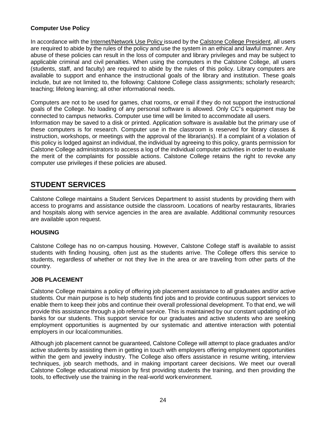#### **Computer Use Policy**

In accordance with the Internet/Network Use Policy issued by the Calstone College President, all users are required to abide by the rules of the policy and use the system in an ethical and lawful manner. Any abuse of these policies can result in the loss of computer and library privileges and may be subject to applicable criminal and civil penalties. When using the computers in the Calstone College, all users (students, staff, and faculty) are required to abide by the rules of this policy. Library computers are available to support and enhance the instructional goals of the library and institution. These goals include, but are not limited to, the following: Calstone College class assignments; scholarly research; teaching; lifelong learning; all other informational needs.

Computers are not to be used for games, chat rooms, or email if they do not support the instructional goals of the College. No loading of any personal software is allowed. Only CC"s equipment may be connected to campus networks. Computer use time will be limited to accommodate all users.

Information may be saved to a disk or printed. Application software is available but the primary use of these computers is for research. Computer use in the classroom is reserved for library classes & instruction, workshops, or meetings with the approval of the librarian(s). If a complaint of a violation of this policy is lodged against an individual, the individual by agreeing to this policy, grants permission for Calstone College administrators to access a log of the individual computer activities in order to evaluate the merit of the complaints for possible actions. Calstone College retains the right to revoke any computer use privileges if these policies are abused.

# <span id="page-25-0"></span>**STUDENT SERVICES**

Calstone College maintains a Student Services Department to assist students by providing them with access to programs and assistance outside the classroom. Locations of nearby restaurants, libraries and hospitals along with service agencies in the area are available. Additional community resources are available upon request.

#### <span id="page-25-1"></span>**HOUSING**

Calstone College has no on-campus housing. However, Calstone College staff is available to assist students with finding housing, often just as the students arrive. The College offers this service to students, regardless of whether or not they live in the area or are traveling from other parts of the country.

### <span id="page-25-2"></span>**JOB PLACEMENT**

Calstone College maintains a policy of offering job placement assistance to all graduates and/or active students. Our main purpose is to help students find jobs and to provide continuous support services to enable them to keep their jobs and continue their overall professional development. To that end, we will provide this assistance through a job referral service. This is maintained by our constant updating of job banks for our students. This support service for our graduates and active students who are seeking employment opportunities is augmented by our systematic and attentive interaction with potential employers in our localcommunities.

<span id="page-25-3"></span>Although job placement cannot be guaranteed, Calstone College will attempt to place graduates and/or active students by assisting them in getting in touch with employers offering employment opportunities within the gem and jewelry industry. The College also offers assistance in resume writing, interview techniques, job search methods, and in making important career decisions. We meet our overall Calstone College educational mission by first providing students the training, and then providing the tools, to effectively use the training in the real-world workenvironment.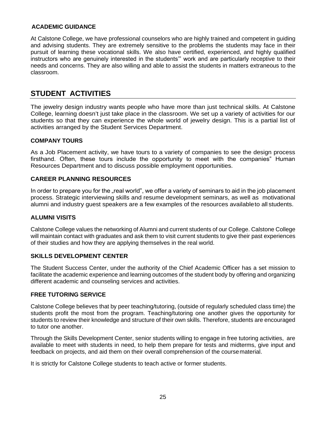#### **ACADEMIC GUIDANCE**

At Calstone College, we have professional counselors who are highly trained and competent in guiding and advising students. They are extremely sensitive to the problems the students may face in their pursuit of learning these vocational skills. We also have certified, experienced, and highly qualified instructors who are genuinely interested in the students'" work and are particularly receptive to their needs and concerns. They are also willing and able to assist the students in matters extraneous to the classroom.

# <span id="page-26-0"></span>**STUDENT ACTIVITIES**

The jewelry design industry wants people who have more than just technical skills. At Calstone College, learning doesn't just take place in the classroom. We set up a variety of activities for our students so that they can experience the whole world of jewelry design. This is a partial list of activities arranged by the Student Services Department.

#### **COMPANY TOURS**

As a Job Placement activity, we have tours to a variety of companies to see the design process firsthand. Often, these tours include the opportunity to meet with the companies" Human Resources Department and to discuss possible employment opportunities.

#### **CAREER PLANNING RESOURCES**

In order to prepare you for the "real world", we offer a variety of seminars to aid in the job placement process. Strategic interviewing skills and resume development seminars, as well as motivational alumni and industry guest speakers are a few examples of the resources availableto all students.

#### **ALUMNI VISITS**

Calstone College values the networking of Alumni and current students of our College. Calstone College will maintain contact with graduates and ask them to visit current students to give their past experiences of their studies and how they are applying themselves in the real world.

#### <span id="page-26-1"></span>**SKILLS DEVELOPMENT CENTER**

The Student Success Center, under the authority of the Chief Academic Officer has a set mission to facilitate the academic experience and learning outcomes of the student body by offering and organizing different academic and counseling services and activities.

#### <span id="page-26-2"></span>**FREE TUTORING SERVICE**

Calstone College believes that by peer teaching/tutoring, (outside of regularly scheduled class time) the students profit the most from the program. Teaching/tutoring one another gives the opportunity for students to review their knowledge and structure of their own skills. Therefore, students are encouraged to tutor one another.

Through the Skills Development Center, senior students willing to engage in free tutoring activities, are available to meet with students in need, to help them prepare for tests and midterms, give input and feedback on projects, and aid them on their overall comprehension of the coursematerial.

It is strictly for Calstone College students to teach active or former students.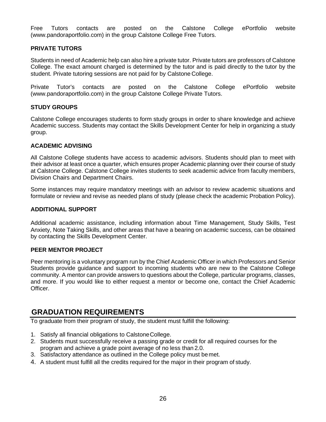Free Tutors contacts are posted on the Calstone College ePortfolio website (www.pandoraportfolio.com) in the group Calstone College Free Tutors.

#### **PRIVATE TUTORS**

Students in need of Academic help can also hire a private tutor. Private tutors are professors of Calstone College. The exact amount charged is determined by the tutor and is paid directly to the tutor by the student. Private tutoring sessions are not paid for by Calstone College.

Private Tutor's contacts are posted on the Calstone College ePortfolio website (www.pandoraportfolio.com) in the group Calstone College Private Tutors.

#### **STUDY GROUPS**

Calstone College encourages students to form study groups in order to share knowledge and achieve Academic success. Students may contact the Skills Development Center for help in organizing a study group.

#### <span id="page-27-0"></span>**ACADEMIC ADVISING**

All Calstone College students have access to academic advisors. Students should plan to meet with their advisor at least once a quarter, which ensures proper Academic planning over their course of study at Calstone College. Calstone College invites students to seek academic advice from faculty members, Division Chairs and Department Chairs.

Some instances may require mandatory meetings with an advisor to review academic situations and formulate or review and revise as needed plans of study (please check the academic Probation Policy).

#### **ADDITIONAL SUPPORT**

Additional academic assistance, including information about Time Management, Study Skills, Test Anxiety, Note Taking Skills, and other areas that have a bearing on academic success, can be obtained by contacting the Skills Development Center.

#### **PEER MENTOR PROJECT**

Peer mentoring is a voluntary program run by the Chief Academic Officer in which Professors and Senior Students provide guidance and support to incoming students who are new to the Calstone College community. A mentor can provide answers to questions about the College, particular programs, classes, and more. If you would like to either request a mentor or become one, contact the Chief Academic Officer.

# <span id="page-27-1"></span>**GRADUATION REQUIREMENTS**

To graduate from their program of study, the student must fulfill the following:

- 1. Satisfy all financial obligations to CalstoneCollege.
- 2. Students must successfully receive a passing grade or credit for all required courses for the program and achieve a grade point average of no less than 2.0.
- 3. Satisfactory attendance as outlined in the College policy must bemet.
- 4. A student must fulfill all the credits required for the major in their program of study.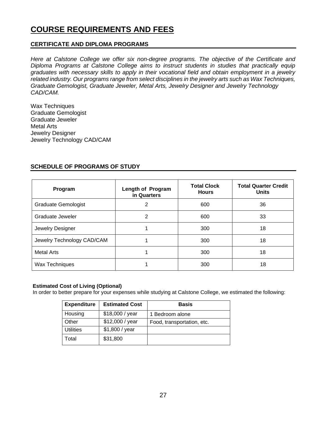# <span id="page-28-0"></span>**COURSE REQUIREMENTS AND FEES**

#### **CERTIFICATE AND DIPLOMA PROGRAMS**

*Here at Calstone College we offer six non-degree programs. The objective of the Certificate and Diploma Programs at Calstone College aims to instruct students in studies that practically equip graduates with necessary skills to apply in their vocational field and obtain employment in a jewelry related industry. Our programs range from select disciplines in the jewelry arts such as Wax Techniques, Graduate Gemologist, Graduate Jeweler, Metal Arts, Jewelry Designer and Jewelry Technology CAD/CAM.*

Wax Techniques Graduate Gemologist Graduate Jeweler Metal Arts Jewelry Designer Jewelry Technology CAD/CAM

#### **SCHEDULE OF PROGRAMS OF STUDY**

| Program                    | Length of Program<br>in Quarters | <b>Total Clock</b><br><b>Hours</b> | <b>Total Quarter Credit</b><br><b>Units</b> |
|----------------------------|----------------------------------|------------------------------------|---------------------------------------------|
| <b>Graduate Gemologist</b> | 2                                | 600                                | 36                                          |
| Graduate Jeweler           | 2                                | 600                                | 33                                          |
| Jewelry Designer           |                                  | 300                                | 18                                          |
| Jewelry Technology CAD/CAM |                                  | 300                                | 18                                          |
| <b>Metal Arts</b>          |                                  | 300                                | 18                                          |
| Wax Techniques             |                                  | 300                                | 18                                          |

#### **Estimated Cost of Living (Optional)**

In order to better prepare for your expenses while studying at Calstone College, we estimated the following:

| <b>Expenditure</b> | <b>Estimated Cost</b> | <b>Basis</b>               |
|--------------------|-----------------------|----------------------------|
| Housing            | \$18,000 / year       | 1 Bedroom alone            |
| Other              | \$12,000 / year       | Food, transportation, etc. |
| <b>Utilities</b>   | \$1,800 / year        |                            |
| Total              | \$31,800              |                            |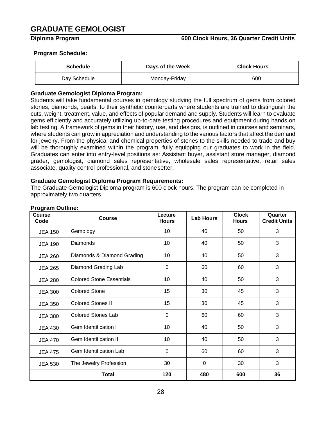# <span id="page-29-0"></span>**GRADUATE GEMOLOGIST**

#### **Diploma Program 600 Clock Hours, 36 Quarter Credit Units**

#### **Program Schedule:**

| <b>Schedule</b> | Days of the Week | <b>Clock Hours</b> |
|-----------------|------------------|--------------------|
| Day Schedule    | Monday-Friday    | 600                |

#### **Graduate Gemologist Diploma Program:**

Students will take fundamental courses in gemology studying the full spectrum of gems from colored stones, diamonds, pearls, to their synthetic counterparts where students are trained to distinguish the cuts, weight, treatment, value, and effects of popular demand and supply. Students will learn to evaluate gems efficiently and accurately utilizing up-to-date testing procedures and equipment during hands on lab testing. A framework of gems in their history, use, and designs, is outlined in courses and seminars, where students can grow in appreciation and understanding to the various factors that affect the demand for jewelry. From the physical and chemical properties of stones to the skills needed to trade and buy will be thoroughly examined within the program, fully equipping our graduates to work in the field. Graduates can enter into entry-level positions as: Assistant buyer, assistant store manager, diamond grader, gemologist, diamond sales representative, wholesale sales representative, retail sales associate, quality control professional, and stonesetter.

#### **Graduate Gemologist Diploma Program Requirements:**

The Graduate Gemologist Diploma program is 600 clock hours. The program can be completed in approximately two quarters.

| <b>Course</b><br>Code | <b>Course</b>                   | Lecture<br><b>Hours</b> | <b>Lab Hours</b> | <b>Clock</b><br><b>Hours</b> | Quarter<br><b>Credit Units</b> |
|-----------------------|---------------------------------|-------------------------|------------------|------------------------------|--------------------------------|
| <b>JEA 150</b>        | Gemology                        | 10                      | 40               | 50                           | 3                              |
| <b>JEA 190</b>        | Diamonds                        | 10                      | 40               | 50                           | 3                              |
| <b>JEA 260</b>        | Diamonds & Diamond Grading      | 10                      | 40               | 50                           | 3                              |
| <b>JEA 265</b>        | Diamond Grading Lab             | $\Omega$                | 60               | 60                           | 3                              |
| <b>JEA 280</b>        | <b>Colored Stone Essentials</b> | 10                      | 40               | 50                           | 3                              |
| <b>JEA 300</b>        | Colored Stone I                 | 15                      | 30               | 45                           | 3                              |
| <b>JEA 350</b>        | <b>Colored Stones II</b>        | 15                      | 30               | 45                           | 3                              |
| <b>JEA 380</b>        | <b>Colored Stones Lab</b>       | 0                       | 60               | 60                           | 3                              |
| <b>JEA 430</b>        | Gem Identification I            | 10                      | 40               | 50                           | 3                              |
| <b>JEA 470</b>        | <b>Gem Identification II</b>    | 10                      | 40               | 50                           | 3                              |
| <b>JEA 475</b>        | Gem Identification Lab          | $\mathbf 0$             | 60               | 60                           | 3                              |
| <b>JEA 530</b>        | The Jewelry Profession          | 30                      | 0                | 30                           | 3                              |
|                       | <b>Total</b>                    | 120                     | 480              | 600                          | 36                             |

#### **Program Outline:**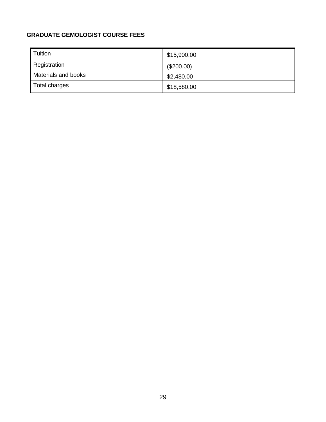### **GRADUATE GEMOLOGIST COURSE FEES**

| Tuition             | \$15,900.00 |
|---------------------|-------------|
| Registration        | (\$200.00)  |
| Materials and books | \$2,480.00  |
| Total charges       | \$18,580.00 |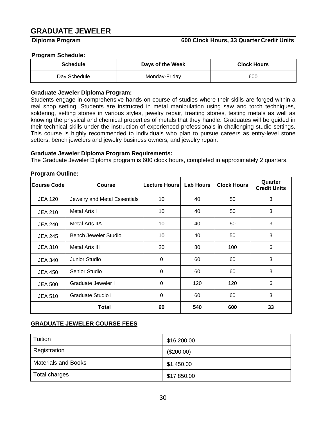# <span id="page-31-0"></span>**GRADUATE JEWELER**

#### **Diploma Program 600 Clock Hours, 33 Quarter Credit Units**

#### **Program Schedule:**

| <b>Schedule</b> | Days of the Week | <b>Clock Hours</b> |
|-----------------|------------------|--------------------|
| Day Schedule    | Monday-Friday    | 600                |

#### **Graduate Jeweler Diploma Program:**

Students engage in comprehensive hands on course of studies where their skills are forged within a real shop setting. Students are instructed in metal manipulation using saw and torch techniques, soldering, setting stones in various styles, jewelry repair, treating stones, testing metals as well as knowing the physical and chemical properties of metals that they handle. Graduates will be guided in their technical skills under the instruction of experienced professionals in challenging studio settings. This course is highly recommended to individuals who plan to pursue careers as entry-level stone setters, bench jewelers and jewelry business owners, and jewelry repair.

#### **Graduate Jeweler Diploma Program Requirements:**

The Graduate Jeweler Diploma program is 600 clock hours, completed in approximately 2 quarters.

| .,<br><b>Course Code</b> | <b>Course</b>                | <b>Lecture Hours</b> | <b>Lab Hours</b> | <b>Clock Hours</b> | Quarter<br><b>Credit Units</b> |
|--------------------------|------------------------------|----------------------|------------------|--------------------|--------------------------------|
| <b>JEA 120</b>           | Jewelry and Metal Essentials | 10                   | 40               | 50                 | 3                              |
| <b>JEA 210</b>           | Metal Arts I                 | 10                   | 40               | 50                 | 3                              |
| <b>JEA 240</b>           | Metal Arts IIA               | 10                   | 40               | 50                 | 3                              |
| <b>JEA 245</b>           | Bench Jeweler Studio         | 10                   | 40               | 50                 | 3                              |
| <b>JEA 310</b>           | Metal Arts III               | 20                   | 80               | 100                | 6                              |
| <b>JEA 340</b>           | Junior Studio                | $\Omega$             | 60               | 60                 | 3                              |
| <b>JEA 450</b>           | Senior Studio                | 0                    | 60               | 60                 | 3                              |
| <b>JEA 500</b>           | Graduate Jeweler I           | 0                    | 120              | 120                | 6                              |
| <b>JEA 510</b>           | Graduate Studio I            | $\mathbf 0$          | 60               | 60                 | 3                              |
|                          | <b>Total</b>                 | 60                   | 540              | 600                | 33                             |

#### **Program Outline:**

#### **GRADUATE JEWELER COURSE FEES**

| Tuition                    | \$16,200.00 |
|----------------------------|-------------|
| Registration               | (\$200.00)  |
| <b>Materials and Books</b> | \$1,450.00  |
| Total charges              | \$17,850.00 |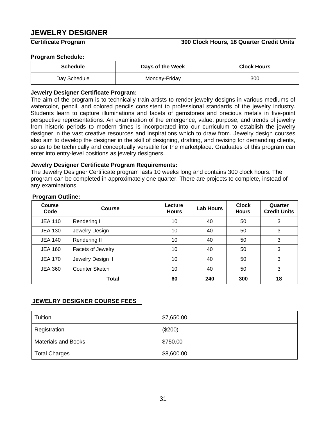# <span id="page-32-0"></span>**JEWELRY DESIGNER**

#### **Certificate Program 300 Clock Hours, 18 Quarter Credit Units**

#### **Program Schedule:**

| <b>Schedule</b> | Days of the Week | <b>Clock Hours</b> |
|-----------------|------------------|--------------------|
| Day Schedule    | Monday-Friday    | 300                |

#### **Jewelry Designer Certificate Program:**

The aim of the program is to technically train artists to render jewelry designs in various mediums of watercolor, pencil, and colored pencils consistent to professional standards of the jewelry industry. Students learn to capture illuminations and facets of gemstones and precious metals in five-point perspective representations. An examination of the emergence, value, purpose, and trends of jewelry from historic periods to modern times is incorporated into our curriculum to establish the jewelry designer in the vast creative resources and inspirations which to draw from. Jewelry design courses also aim to develop the designer in the skill of designing, drafting, and revising for demanding clients, so as to be technically and conceptually versatile for the marketplace. Graduates of this program can enter into entry-level positions as jewelry designers.

#### **Jewelry Designer Certificate Program Requirements:**

The Jewelry Designer Certificate program lasts 10 weeks long and contains 300 clock hours. The program can be completed in approximately one quarter. There are projects to complete, instead of any examinations.

| <b>Course</b><br>Code | Course                | Lecture<br><b>Hours</b> | <b>Lab Hours</b> | <b>Clock</b><br><b>Hours</b> | Quarter<br><b>Credit Units</b> |
|-----------------------|-----------------------|-------------------------|------------------|------------------------------|--------------------------------|
| <b>JEA 110</b>        | Rendering I           | 10                      | 40               | 50                           | 3                              |
| <b>JEA 130</b>        | Jewelry Design I      | 10                      | 40               | 50                           | 3                              |
| <b>JEA 140</b>        | Rendering II          | 10                      | 40               | 50                           | 3                              |
| <b>JEA 160</b>        | Facets of Jewelry     | 10                      | 40               | 50                           | 3                              |
| <b>JEA 170</b>        | Jewelry Design II     | 10                      | 40               | 50                           | 3                              |
| <b>JEA 360</b>        | <b>Counter Sketch</b> | 10                      | 40               | 50                           | 3                              |
|                       | Total                 | 60                      | 240              | 300                          | 18                             |

#### **Program Outline:**

#### **JEWELRY DESIGNER COURSE FEES**

| Tuition                    | \$7,650.00 |
|----------------------------|------------|
| Registration               | (\$200)    |
| <b>Materials and Books</b> | \$750.00   |
| <b>Total Charges</b>       | \$8,600.00 |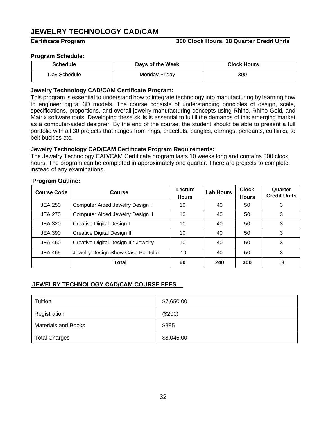# **JEWELRY TECHNOLOGY CAD/CAM**

#### **Certificate Program 300 Clock Hours, 18 Quarter Credit Units**

#### **Program Schedule:**

| <b>Schedule</b> | Days of the Week | <b>Clock Hours</b> |
|-----------------|------------------|--------------------|
| Day Schedule    | Monday-Friday    | 300                |

#### **Jewelry Technology CAD/CAM Certificate Program:**

This program is essential to understand how to integrate technology into manufacturing by learning how to engineer digital 3D models. The course consists of understanding principles of design, scale, specifications, proportions, and overall jewelry manufacturing concepts using Rhino, Rhino Gold, and Matrix software tools. Developing these skills is essential to fulfill the demands of this emerging market as a computer-aided designer. By the end of the course, the student should be able to present a full portfolio with all 30 projects that ranges from rings, bracelets, bangles, earrings, pendants, cufflinks, to belt buckles etc.

#### **Jewelry Technology CAD/CAM Certificate Program Requirements:**

The Jewelry Technology CAD/CAM Certificate program lasts 10 weeks long and contains 300 clock hours. The program can be completed in approximately one quarter. There are projects to complete, instead of any examinations.

| <b>Course Code</b> | Course                               | Lecture<br><b>Hours</b> | <b>Lab Hours</b> | <b>Clock</b><br><b>Hours</b> | Quarter<br><b>Credit Units</b> |
|--------------------|--------------------------------------|-------------------------|------------------|------------------------------|--------------------------------|
| <b>JEA 250</b>     | Computer Aided Jewelry Design I      | 10                      | 40               | 50                           | 3                              |
| <b>JEA 270</b>     | Computer Aided Jewelry Design II     | 10                      | 40               | 50                           | 3                              |
| <b>JEA 320</b>     | Creative Digital Design I            | 10                      | 40               | 50                           | 3                              |
| <b>JEA 390</b>     | Creative Digital Design II           | 10                      | 40               | 50                           | 3                              |
| <b>JEA 460</b>     | Creative Digital Design III: Jewelry | 10                      | 40               | 50                           | 3                              |
| <b>JEA 465</b>     | Jewelry Design Show Case Portfolio   | 10                      | 40               | 50                           | 3                              |
|                    | Total                                | 60                      | 240              | 300                          | 18                             |

#### **JEWELRY TECHNOLOGY CAD/CAM COURSE FEES**

| Tuition                    | \$7,650.00 |
|----------------------------|------------|
| Registration               | (\$200)    |
| <b>Materials and Books</b> | \$395      |
| <b>Total Charges</b>       | \$8,045.00 |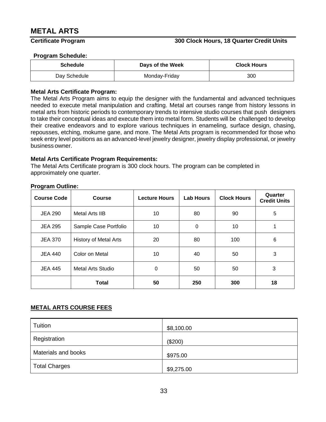# <span id="page-34-0"></span>**METAL ARTS**

#### **Certificate Program 300 Clock Hours, 18 Quarter Credit Units**

#### **Program Schedule:**

| <b>Schedule</b> | Days of the Week | <b>Clock Hours</b> |
|-----------------|------------------|--------------------|
| Day Schedule    | Monday-Friday    | 300                |

#### **Metal Arts Certificate Program:**

The Metal Arts Program aims to equip the designer with the fundamental and advanced techniques needed to execute metal manipulation and crafting. Metal art courses range from history lessons in metal arts from historic periods to contemporary trends to intensive studio courses that push designers to take their conceptual ideas and execute them into metal form. Students will be challenged to develop their creative endeavors and to explore various techniques in enameling, surface design, chasing, repousses, etching, mokume gane, and more. The Metal Arts program is recommended for those who seek entry level positions as an advanced-level jewelry designer, jewelry display professional, or jewelry business owner.

#### **Metal Arts Certificate Program Requirements:**

The Metal Arts Certificate program is 300 clock hours. The program can be completed in approximately one quarter.

#### **Program Outline:**

| <b>Course Code</b> | <b>Course</b>                | <b>Lecture Hours</b> | <b>Lab Hours</b> | <b>Clock Hours</b> | Quarter<br><b>Credit Units</b> |
|--------------------|------------------------------|----------------------|------------------|--------------------|--------------------------------|
| <b>JEA 290</b>     | Metal Arts IIB               | 10                   | 80               | 90                 | 5                              |
| <b>JEA 295</b>     | Sample Case Portfolio        | 10                   | 0                | 10                 |                                |
| <b>JEA 370</b>     | <b>History of Metal Arts</b> | 20                   | 80               | 100                | 6                              |
| <b>JEA 440</b>     | Color on Metal               | 10                   | 40               | 50                 | 3                              |
| <b>JEA 445</b>     | Metal Arts Studio            | 0                    | 50               | 50                 | 3                              |
|                    | <b>Total</b>                 | 50                   | 250              | 300                | 18                             |

#### **METAL ARTS COURSE FEES**

| Tuition              | \$8,100.00 |
|----------------------|------------|
| Registration         | (\$200)    |
| Materials and books  | \$975.00   |
| <b>Total Charges</b> | \$9,275.00 |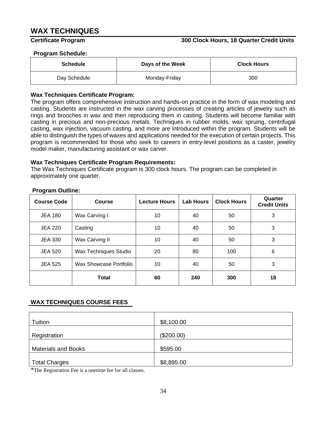# <span id="page-35-0"></span>**WAX TECHNIQUES**

#### **Certificate Program 300 Clock Hours, 18 Quarter Credit Units**

#### **Program Schedule:**

| <b>Schedule</b> | Days of the Week | <b>Clock Hours</b> |
|-----------------|------------------|--------------------|
| Day Schedule    | Monday-Friday    | 300                |

#### **Wax Techniques Certificate Program:**

The program offers comprehensive instruction and hands-on practice in the form of wax modeling and casting. Students are instructed in the wax carving processes of creating articles of jewelry such as rings and brooches in wax and then reproducing them in casting. Students will become familiar with casting in precious and non-precious metals. Techniques in rubber molds, wax spruing, centrifugal casting, wax injection, vacuum casting, and more are introduced within the program. Students will be able to distinguish the types of waxes and applications needed for the execution of certain projects. This program is recommended for those who seek to careers in entry-level positions as a caster, jewelry model maker, manufacturing assistant or wax carver.

#### **Wax Techniques Certificate Program Requirements:**

The Wax Techniques Certificate program is 300 clock hours. The program can be completed in approximately one quarter.

| <b>Course Code</b> | <b>Course</b>          | <b>Lecture Hours</b> | <b>Lab Hours</b> | <b>Clock Hours</b> | Quarter<br><b>Credit Units</b> |
|--------------------|------------------------|----------------------|------------------|--------------------|--------------------------------|
| <b>JEA 180</b>     | Wax Carving I          | 10                   | 40               | 50                 | 3                              |
| <b>JEA 220</b>     | Casting                | 10                   | 40               | 50                 | 3                              |
| <b>JEA 330</b>     | Wax Carving II         | 10                   | 40               | 50                 | 3                              |
| <b>JEA 520</b>     | Wax Techniques Studio  | 20                   | 80               | 100                | 6                              |
| <b>JEA 525</b>     | Wax Showcase Portfolio | 10                   | 40               | 50                 | 3                              |
|                    | <b>Total</b>           | 60                   | 240              | 300                | 18                             |

#### **Program Outline:**

### **WAX TECHNIQUES COURSE FEES**

| Tuition                    | \$8,100.00 |
|----------------------------|------------|
| Registration               | (\$200.00) |
| <b>Materials and Books</b> | \$595.00   |
| <b>Total Charges</b>       | \$8,895.00 |

\*The Registration Fee is a onetime fee for all classes.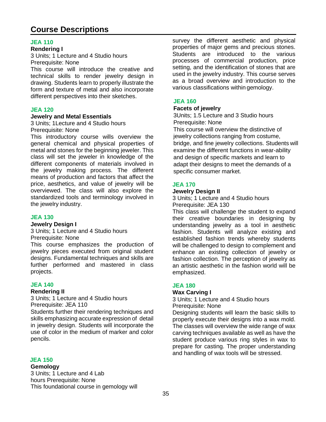# <span id="page-36-0"></span>**Course Descriptions**

#### **JEA 110**

#### **Rendering I**

3 Units; 1 Lecture and 4 Studio hours Prerequisite: None

This course will introduce the creative and technical skills to render jewelry design in drawing. Students learn to properly illustrate the form and texture of metal and also incorporate different perspectives into their sketches.

#### **JEA 120**

#### **Jewelry and Metal Essentials**

3 Units; 1Lecture and 4 Studio hours Prerequisite: None

This introductory course wills overview the general chemical and physical properties of metal and stones for the beginning jeweler. This class will set the jeweler in knowledge of the different components of materials involved in the jewelry making process. The different means of production and factors that affect the price, aesthetics, and value of jewelry will be overviewed. The class will also explore the standardized tools and terminology involved in the jewelry industry.

#### **JEA 130**

#### **Jewelry Design I**

3 Units; 1 Lecture and 4 Studio hours Prerequisite: None

This course emphasizes the production of jewelry pieces executed from original student designs. Fundamental techniques and skills are further performed and mastered in class projects.

#### **JEA 140**

#### **Rendering II**

3 Units; 1 Lecture and 4 Studio hours Prerequisite: JEA 110

Students further their rendering techniques and skills emphasizing accurate expression of detail in jewelry design. Students will incorporate the use of color in the medium of marker and color pencils.

#### **JEA 150**

#### **Gemology**

3 Units; 1 Lecture and 4 Lab hours Prerequisite: None This foundational course in gemology will survey the different aesthetic and physical properties of major gems and precious stones. Students are introduced to the various processes of commercial production, price setting, and the identification of stones that are used in the jewelry industry. This course serves as a broad overview and introduction to the various classifications within gemology.

#### **JEA 160**

#### **Facets of jewelry**

3Units; 1.5 Lecture and 3 Studio hours Prerequisite: None

This course will overview the distinctive of jewelry collections ranging from costume, bridge, and fine jewelry collections. Students will examine the different functions in wear-ability and design of specific markets and learn to adapt their designs to meet the demands of a specific consumer market.

#### **JEA 170**

#### **Jewelry Design II**

3 Units; 1 Lecture and 4 Studio hours Prerequisite: JEA 130

This class will challenge the student to expand their creative boundaries in designing by understanding jewelry as a tool in aesthetic fashion. Students will analyze existing and established fashion trends whereby students will be challenged to design to complement and enhance an existing collection of jewelry or fashion collection. The perception of jewelry as an artistic aesthetic in the fashion world will be emphasized.

#### **JEA 180**

#### **Wax Carving I**

3 Units; 1 Lecture and 4 Studio hours Prerequisite: None

Designing students will learn the basic skills to properly execute their designs into a wax mold. The classes will overview the wide range of wax carving techniques available as well as have the student produce various ring styles in wax to prepare for casting. The proper understanding and handling of wax tools will be stressed.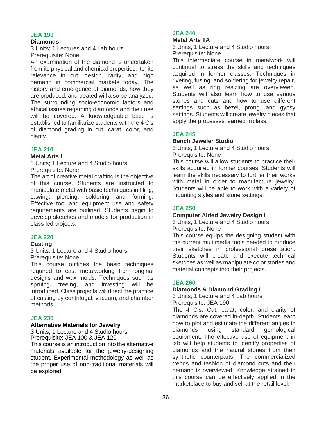#### **Diamonds**

3 Units; 1 Lectures and 4 Lab hours Prerequisite: None

An examination of the diamond is undertaken from its physical and chemical properties, to its relevance in cut, design, rarity, and high demand in commercial markets today. The history and emergence of diamonds, how they are produced, and treated will also be analyzed. The surrounding socio-economic factors and ethical issues regarding diamonds and their use will be covered. A knowledgeable base is established to familiarize students with the 4 C's of diamond grading in cut, carat, color, and clarity.

#### **JEA 210**

#### **Metal Arts I**

3 Units; 1 Lecture and 4 Studio hours Prerequisite: None

The art of creative metal crafting is the objective of this course. Students are instructed to manipulate metal with basic techniques in filing, sawing, piercing, soldering and forming. Effective tool and equipment use and safety requirements are outlined. Students begin to develop sketches and models for production in class led projects.

#### **JEA 220**

#### **Casting**

3 Units; 1 Lecture and 4 Studio hours Prerequisite: None

This course outlines the basic techniques required to cast metalworking from original designs and wax molds. Techniques such as spruing, treeing, and investing will be introduced. Class projects will direct the practice of casting by centrifugal, vacuum, and chamber methods.

#### **JEA 230**

#### **Alternative Materials for Jewelry**

3 Units; 1 Lecture and 4 Studio hours Prerequisite: JEA 100 & JEA 120

This course is an introduction into the alternative materials available for the jewelry-designing student. Experimental methodology as well as the proper use of non-traditional materials will be explored.

#### **JEA 240**

#### **Metal Arts IIA**

3 Units; 1 Lecture and 4 Studio hours Prerequisite: None

This intermediate course in metalwork will continual to stress the skills and techniques acquired in former classes. Techniques in riveting, fusing, and soldering for jewelry repair, as well as ring resizing are overviewed. Students will also learn how to use various stones and cuts and how to use different settings such as bezel, prong, and gypsy settings. Students will create jewelry pieces that apply the processes learned in class.

#### **JEA 245**

#### **Bench Jeweler Studio**

3 Units; 1 Lecture and 4 Studio hours Prerequisite: None

This course will allow students to practice their skills acquired in former courses. Students will learn the skills necessary to further their works with metal in order to manufacture jewelry. Students will be able to work with a variety of mounting styles and stone settings.

#### **JEA 250**

#### **Computer Aided Jewelry Design I**

3 Units; 1 Lecture and 4 Studio hours Prerequisite: None

This course equips the designing student with the current multimedia tools needed to produce their sketches in professional presentation. Students will create and execute technical sketches as well as manipulate color stories and material concepts into their projects.

#### **JEA 260**

#### **Diamonds & Diamond Grading I**

3 Units; 1 Lecture and 4 Lab hours Prerequisite: JEA 190

The 4 C's: Cut, carat, color, and clarity of diamonds are covered in-depth. Students learn how to plot and estimate the different angles in diamonds using standard gemological equipment. The effective use of equipment in lab will help students to identify properties of diamonds and the natural stones from their synthetic counterparts. The commercialized trends and fashion of diamond cuts and their demand is overviewed. Knowledge attained in this course can be effectively applied in the marketplace to buy and sell at the retail level.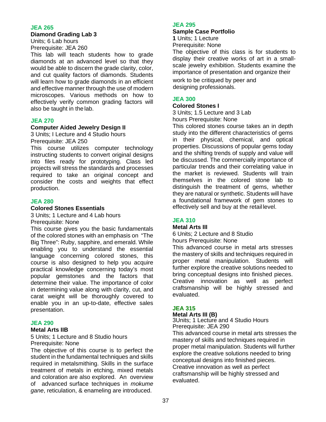#### **Diamond Grading Lab 3**

Units; 6 Lab hours Prerequisite: JEA 260

This lab will teach students how to grade diamonds at an advanced level so that they would be able to discern the grade clarity, color, and cut quality factors of diamonds. Students will learn how to grade diamonds in an efficient and effective manner through the use of modern microscopes. Various methods on how to effectively verify common grading factors will also be taught in the lab.

#### **JEA 270**

#### **Computer Aided Jewelry Design II**

3 Units; I Lecture and 4 Studio hours Prerequisite: JEA 250

This course utilizes computer technology instructing students to convert original designs into files ready for prototyping. Class led projects will stress the standards and processes required to take an original concept and consider the costs and weights that effect production.

#### **JEA 280**

#### **Colored Stones Essentials**

3 Units; 1 Lecture and 4 Lab hours Prerequisite: None

This course gives you the basic fundamentals of the colored stones with an emphasis on "The Big Three": Ruby, sapphire, and emerald. While enabling you to understand the essential language concerning colored stones, this course is also designed to help you acquire practical knowledge concerning today's most popular gemstones and the factors that determine their value. The importance of color in determining value along with clarity, cut, and carat weight will be thoroughly covered to enable you in an up-to-date, effective sales presentation.

#### **JEA 290**

#### **Metal Arts IIB**

5 Units; 1 Lecture and 8 Studio hours Prerequisite: None

The objective of this course is to perfect the student in the fundamental techniques and skills required in metalsmithing. Skills in the surface treatment of metals in etching, mixed metals and coloration are also explored. An overview of advanced surface techniques in *mokume gane*, reticulation, & enameling are introduced.

#### **JEA 295**

#### **Sample Case Portfolio**

**1** Units; 1 Lecture Prerequisite: None

The objective of this class is for students to display their creative works of art in a smallscale jewelry exhibition. Students examine the importance of presentation and organize their

work to be critiqued by peer and designing professionals.

#### **JEA 300**

#### **Colored Stones I**

3 Units; 1.5 Lecture and 3 Lab hours Prerequisite: None

This colored stones course takes an in depth study into the different characteristics of gems in their physical, chemical, and optical properties. Discussions of popular gems today and the shifting trends of supply and value will be discussed. The commercially importance of particular trends and their correlating value in the market is reviewed. Students will train themselves in the colored stone lab to distinguish the treatment of gems, whether they are natural or synthetic. Students will have a foundational framework of gem stones to effectively sell and buy at the retail level.

### **JEA 310**

#### **Metal Arts III**

6 Units; 2 Lecture and 8 Studio hours Prerequisite: None

This advanced course in metal arts stresses the mastery of skills and techniques required in proper metal manipulation. Students will further explore the creative solutions needed to bring conceptual designs into finished pieces. Creative innovation as well as perfect craftsmanship will be highly stressed and evaluated.

### **JEA 315**

#### **Metal Arts III (B)**

3Units; 1 Lecture and 4 Studio Hours Prerequisite: JEA 290

This advanced course in metal arts stresses the mastery of skills and techniques required in proper metal manipulation. Students will further explore the creative solutions needed to bring conceptual designs into finished pieces. Creative innovation as well as perfect craftsmanship will be highly stressed and evaluated.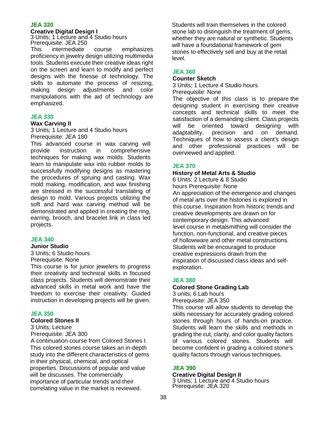#### **Creative Digital Design I**

3 Units; 1 Lecture and 4 Studio hours Prerequisite: JEA 250

This intermediate course emphasizes proficiency in jewelry design utilizing multimedia tools. Students execute their creative ideas right on the screen and learn to modify and perfect designs with the finesse of technology. The skills to automate the process of resizing, making design adjustments and color manipulations with the aid of technology are emphasized.

#### **JEA 330**

#### **Wax Carving II**

3 Units; 1 Lecture and 4 Studio hours Prerequisite: JEA 180

This advanced course in wax carving will provide instruction in comprehensive techniques for making wax molds. Students learn to manipulate wax into rubber molds to successfully modifying designs as mastering the procedures of spruing and casting. Wax mold making, modification, and wax finishing are stressed in the successful translating of design to mold. Various projects utilizing the soft and hard wax carving method will be demonstrated and applied in creating the ring, earring, brooch, and bracelet link in class led projects.

### **JEA 340**

#### **Junior Studio**

3 Units; 6 Studio hours Prerequisite: None

This course is for junior jewelers to progress their creativity and technical skills in focused class projects. Students will demonstrate their advanced skills in metal work and have the freedom to exercise their creativity. Guided instruction in developing projects will be given.

#### **JEA 350**

#### **Colored Stones II**

3 Units; Lecture Prerequisite: JEA 300

A continuation course from Colored Stones I. This colored stones course takes an in-depth study into the different characteristics of gems in their physical, chemical, and optical properties. Discussions of popular and value will be discusses. The commercially importance of particular trends and their correlating value in the market is reviewed.

Students will train themselves in the colored stone lab to distinguish the treatment of gems, whether they are natural or synthetic. Students will have a foundational framework of gem stones to effectively sell and buy at the retail level.

### **JEA 360**

**Counter Sketch** 3 Units; 1 Lecture 4 Studio hours

Prerequisite: None

The objective of this class is to prepare the designing student in exercising their creative concepts and technical skills to meet the satisfaction of a demanding client. Class projects will be oriented toward designing with adaptability, precision and on demand. Techniques of how to assess a client's design and other professional practices will be overviewed and applied.

#### **JEA 370**

#### **History of Metal Arts & Studio**

6 Units; 2 Lecture & 8 Studio hours Prerequisite: None An appreciation of the emergence and changes of metal arts over the histories is explored in this course. Inspiration from historic trends and creative developments are drawn on for contemporary design. This advanced level course in metalsmithing will consider the function, non-functional, and creative pieces of hollowware and other metal constructions. Students will be encouraged to produce creative expressions drawn from the inspiration of discussed class ideas and selfexploration.

#### **JEA 380**

#### **Colored Stone Grading Lab**

3 units; 6 Lab hours Prerequisite: JEA 350

This course will allow students to develop the skills necessary for accurately grading colored stones through hours of hands-on practice. Students will learn the skills and methods in grading the cut, clarity, and color quality factors of various colored stones. Students will become confident in grading a colored stone's quality factors through various techniques.

#### **JEA 390**

#### **Creative Digital Design II** 3 Units; 1 Lecture and 4 Studio hours Prerequisite: JEA 320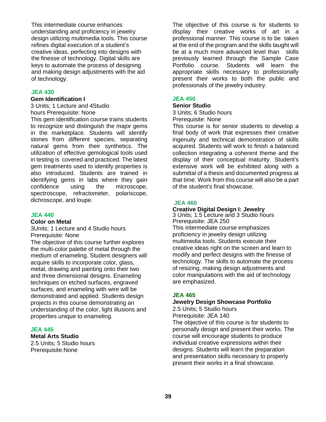This intermediate course enhances understanding and proficiency in jewelry design utilizing multimedia tools. This course refines digital execution of a student's creative ideas, perfecting into designs with the finesse of technology. Digital skills are keys to automate the process of designing and making design adjustments with the aid of technology.

#### **JEA 430**

#### **Gem Identification I**

3 Units; 1 Lecture and 4Studio hours Prerequisite: None

This gem identification course trains students to recognize and distinguish the major gems in the marketplace. Students will identify stones from different species, separating natural gems from their synthetics. The utilization of effective gemological tools used in testing is covered and practiced. The latest gem treatments used to identify properties is also introduced. Students are trained in identifying gems in labs where they gain confidence using the microscope, spectroscope, refractometer, polariscope, dichroscope, and loupe.

#### **JEA 440**

#### **Color on Metal**

3Units; 1 Lecture and 4 Studio hours Prerequisite: None

The objective of this course further explores the multi-color palette of metal through the medium of enameling. Student designers will acquire skills to incorporate color, glass, metal, drawing and painting onto their two and three dimensional designs. Enameling techniques on etched surfaces, engraved surfaces, and enameling with wire will be demonstrated and applied. Students design projects in this course demonstrating an understanding of the color, light illusions and properties unique to enameling.

#### **JEA 445**

**Metal Arts Studio** 2.5 Units; 5 Studio hours

Prerequisite:None

The objective of this course is for students to display their creative works of art in a professional manner. This course is to be taken at the end of the program and the skills taught will be at a much more advanced level than skills previously learned through the Sample Case Portfolio course. Students will learn the appropriate skills necessary to professionally present their works to both the public and professionals of the jewelry industry.

#### **JEA 450**

#### **Senior Studio**

3 Units; 6 Studio hours Prerequisite: None

This course is for senior students to develop a final body of work that expresses their creative ingenuity and technical demonstration of skills acquired. Students will work to finish a balanced collection integrating a coherent theme and the display of their conceptual maturity. Student's extensive work will be exhibited along with a submittal of a thesis and documented progress at that time. Work from this course will also be a part of the student's final showcase.

#### **JEA 460**

#### **Creative Digital Design I: Jewelry**

3 Units; 1.5 Lecture and 3 Studio hours Prerequisite: JEA 250 This intermediate course emphasizes proficiency in jewelry design utilizing multimedia tools. Students execute their creative ideas right on the screen and learn to modify and perfect designs with the finesse of technology. The skills to automate the process of resizing, making design adjustments and color manipulations with the aid of technology are emphasized.

#### **JEA 465**

#### **Jewelry Design Showcase Portfolio**

2.5 Units; 5 Studio hours Prerequisite: JEA 140

The objective of this course is for students to personally design and present their works. The course will encourage students to produce individual creative expressions within their designs. Students will learn the preparation and presentation skills necessary to properly present their works in a final showcase.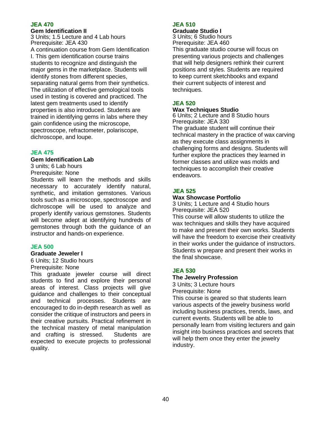#### **Gem Identification II**

3 Units; 1.5 Lecture and 4 Lab hours Prerequisite: JEA 430

A continuation course from Gem Identification I. This gem identification course trains students to recognize and distinguish the major gems in the marketplace. Students will identify stones from different species, separating natural gems from their synthetics. The utilization of effective gemological tools used in testing is covered and practiced. The latest gem treatments used to identify properties is also introduced. Students are trained in identifying gems in labs where they gain confidence using the microscope, spectroscope, refractometer, polariscope, dichroscope, and loupe.

#### **JEA 475**

#### **Gem Identification Lab**

3 units; 6 Lab hours Prerequisite: None

Students will learn the methods and skills necessary to accurately identify natural, synthetic, and imitation gemstones. Various tools such as a microscope, spectroscope and dichroscope will be used to analyze and properly identify various gemstones. Students will become adept at identifying hundreds of gemstones through both the guidance of an instructor and hands-on experience.

#### **JEA 500**

#### **Graduate Jeweler I**

6 Units; 12 Studio hours

Prerequisite: None

This graduate jeweler course will direct students to find and explore their personal areas of interest. Class projects will give guidance and challenges to their conceptual and technical processes. Students are encouraged to do in-depth research as well as consider the critique of instructors and peers in their creative pursuits. Practical refinement in the technical mastery of metal manipulation and crafting is stressed. Students are expected to execute projects to professional quality.

#### **JEA 510**

# **Graduate Studio I**

3 Units; 6 Studio hours Prerequisite: JEA 460

This graduate studio course will focus on presenting various projects and challenges that will help designers rethink their current positions and styles. Students are required to keep current sketchbooks and expand their current subjects of interest and techniques.

#### **JEA 520**

#### **Wax Techniques Studio**

6 Units; 2 Lecture and 8 Studio hours Prerequisite: JEA 330

The graduate student will continue their technical mastery in the practice of wax carving as they execute class assignments in challenging forms and designs. Students will further explore the practices they learned in former classes and utilize was molds and techniques to accomplish their creative endeavors.

#### **JEA 525**

#### **Wax Showcase Portfolio**

3 Units; 1 Lecture and 4 Studio hours Prerequisite: JEA 520

This course will allow students to utilize the wax techniques and skills they have acquired to make and present their own works. Students will have the freedom to exercise their creativity in their works under the guidance of instructors. Students w prepare and present their works in the final showcase.

#### **JEA 530**

#### **The Jewelry Profession**

3 Units; 3 Lecture hours Prerequisite: None

This course is geared so that students learn various aspects of the jewelry business world including business practices, trends, laws, and current events. Students will be able to personally learn from visiting lecturers and gain insight into business practices and secrets that will help them once they enter the jewelry industry.